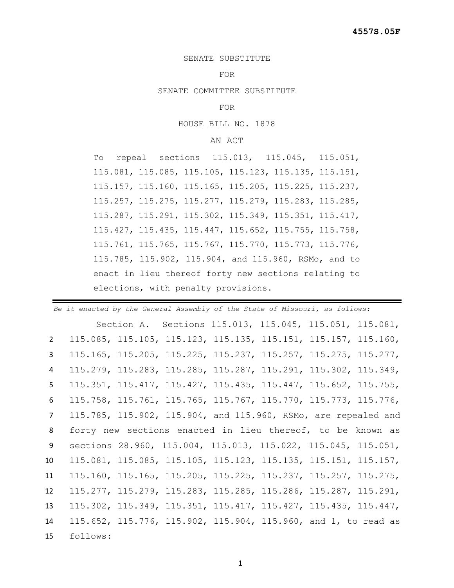## SENATE SUBSTITUTE

## FOR

SENATE COMMITTEE SUBSTITUTE

FOR

HOUSE BILL NO. 1878

AN ACT

To repeal sections 115.013, 115.045, 115.051, 115.081, 115.085, 115.105, 115.123, 115.135, 115.151, 115.157, 115.160, 115.165, 115.205, 115.225, 115.237, 115.257, 115.275, 115.277, 115.279, 115.283, 115.285, 115.287, 115.291, 115.302, 115.349, 115.351, 115.417, 115.427, 115.435, 115.447, 115.652, 115.755, 115.758, 115.761, 115.765, 115.767, 115.770, 115.773, 115.776, 115.785, 115.902, 115.904, and 115.960, RSMo, and to enact in lieu thereof forty new sections relating to elections, with penalty provisions.

|                | Be it enacted by the General Assembly of the State of Missouri, as follows: |  |                                                                                     |  |
|----------------|-----------------------------------------------------------------------------|--|-------------------------------------------------------------------------------------|--|
|                |                                                                             |  | Section A. Sections 115.013, 115.045, 115.051, 115.081,                             |  |
| $\overline{2}$ |                                                                             |  | $115.085$ , $115.105$ , $115.123$ , $115.135$ , $115.151$ , $115.157$ , $115.160$ , |  |
| 3              |                                                                             |  | 115.165, 115.205, 115.225, 115.237, 115.257, 115.275, 115.277,                      |  |
| 4              |                                                                             |  | 115.279, 115.283, 115.285, 115.287, 115.291, 115.302, 115.349,                      |  |
| 5              |                                                                             |  | $115.351, 115.417, 115.427, 115.435, 115.447, 115.652, 115.755,$                    |  |
| 6              |                                                                             |  | 115.758, 115.761, 115.765, 115.767, 115.770, 115.773, 115.776,                      |  |
| $\overline{7}$ |                                                                             |  | 115.785, 115.902, 115.904, and 115.960, RSMo, are repealed and                      |  |
| 8              |                                                                             |  | forty new sections enacted in lieu thereof, to be known as                          |  |
|                |                                                                             |  |                                                                                     |  |
| 9              |                                                                             |  | sections 28.960, 115.004, 115.013, 115.022, 115.045, 115.051,                       |  |
| 10             |                                                                             |  | $115.081, 115.085, 115.105, 115.123, 115.135, 115.151, 115.157,$                    |  |
| 11             |                                                                             |  | $115.160, 115.165, 115.205, 115.225, 115.237, 115.257, 115.275,$                    |  |
| 12             |                                                                             |  | 115.277, 115.279, 115.283, 115.285, 115.286, 115.287, 115.291,                      |  |
| 13             |                                                                             |  | 115.302, 115.349, 115.351, 115.417, 115.427, 115.435, 115.447,                      |  |
| 14             |                                                                             |  | 115.652, 115.776, 115.902, 115.904, 115.960, and 1, to read as                      |  |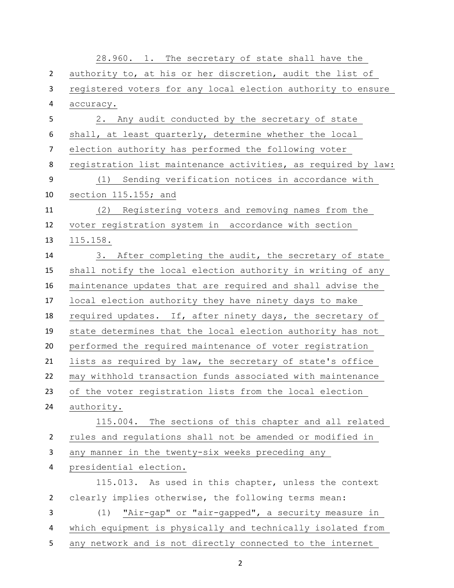|                | 28.960. 1. The secretary of state shall have the              |  |  |  |  |  |
|----------------|---------------------------------------------------------------|--|--|--|--|--|
| $\overline{2}$ | authority to, at his or her discretion, audit the list of     |  |  |  |  |  |
| 3              | registered voters for any local election authority to ensure  |  |  |  |  |  |
| 4              | accuracy.                                                     |  |  |  |  |  |
| 5              | 2. Any audit conducted by the secretary of state              |  |  |  |  |  |
| 6              | shall, at least quarterly, determine whether the local        |  |  |  |  |  |
| 7              | election authority has performed the following voter          |  |  |  |  |  |
| 8              | registration list maintenance activities, as required by law: |  |  |  |  |  |
| 9              | (1) Sending verification notices in accordance with           |  |  |  |  |  |
| 10             | section 115.155; and                                          |  |  |  |  |  |
| 11             | (2) Registering voters and removing names from the            |  |  |  |  |  |
| 12             | voter registration system in accordance with section          |  |  |  |  |  |
| 13             | 115.158.                                                      |  |  |  |  |  |
| 14             | 3. After completing the audit, the secretary of state         |  |  |  |  |  |
| 15             | shall notify the local election authority in writing of any   |  |  |  |  |  |
| 16             | maintenance updates that are required and shall advise the    |  |  |  |  |  |
| 17             | local election authority they have ninety days to make        |  |  |  |  |  |
| 18             | required updates. If, after ninety days, the secretary of     |  |  |  |  |  |
| 19             | state determines that the local election authority has not    |  |  |  |  |  |
| 20             | performed the required maintenance of voter registration      |  |  |  |  |  |
| 21             | lists as required by law, the secretary of state's office     |  |  |  |  |  |
| 22             | may withhold transaction funds associated with maintenance    |  |  |  |  |  |
| 23             | of the voter registration lists from the local election       |  |  |  |  |  |
| 24             | authority.                                                    |  |  |  |  |  |
|                | 115.004. The sections of this chapter and all related         |  |  |  |  |  |
| $\overline{2}$ | rules and regulations shall not be amended or modified in     |  |  |  |  |  |
| 3              | any manner in the twenty-six weeks preceding any              |  |  |  |  |  |
| 4              | presidential election.                                        |  |  |  |  |  |
|                | 115.013. As used in this chapter, unless the context          |  |  |  |  |  |
| $\overline{2}$ | clearly implies otherwise, the following terms mean:          |  |  |  |  |  |
| 3              | "Air-gap" or "air-gapped", a security measure in<br>(1)       |  |  |  |  |  |
| 4              | which equipment is physically and technically isolated from   |  |  |  |  |  |
| 5              | any network and is not directly connected to the internet     |  |  |  |  |  |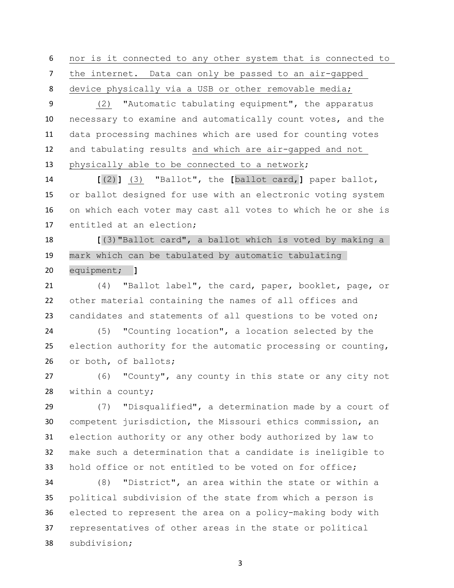nor is it connected to any other system that is connected to the internet. Data can only be passed to an air-gapped device physically via a USB or other removable media;

 (2) "Automatic tabulating equipment", the apparatus necessary to examine and automatically count votes, and the data processing machines which are used for counting votes and tabulating results and which are air-gapped and not physically able to be connected to a network;

 **[**(2)**]** (3) "Ballot", the **[**ballot card,**]** paper ballot, or ballot designed for use with an electronic voting system on which each voter may cast all votes to which he or she is entitled at an election;

 **[**(3)"Ballot card", a ballot which is voted by making a mark which can be tabulated by automatic tabulating equipment; **]**

 (4) "Ballot label", the card, paper, booklet, page, or other material containing the names of all offices and 23 candidates and statements of all questions to be voted on;

 (5) "Counting location", a location selected by the election authority for the automatic processing or counting, or both, of ballots;

 (6) "County", any county in this state or any city not within a county;

 (7) "Disqualified", a determination made by a court of competent jurisdiction, the Missouri ethics commission, an election authority or any other body authorized by law to make such a determination that a candidate is ineligible to hold office or not entitled to be voted on for office;

 (8) "District", an area within the state or within a political subdivision of the state from which a person is elected to represent the area on a policy-making body with representatives of other areas in the state or political subdivision;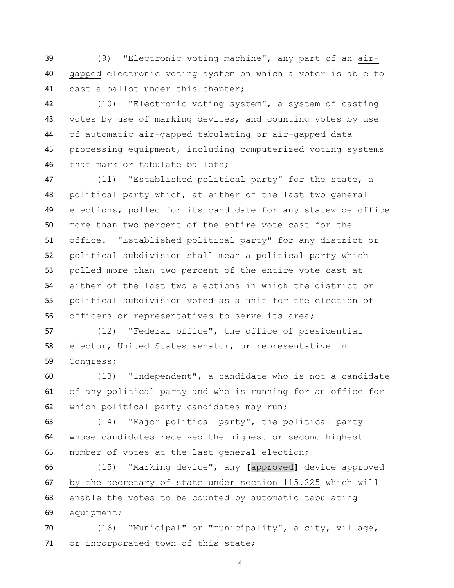(9) "Electronic voting machine", any part of an air- gapped electronic voting system on which a voter is able to cast a ballot under this chapter;

 (10) "Electronic voting system", a system of casting votes by use of marking devices, and counting votes by use of automatic air-gapped tabulating or air-gapped data processing equipment, including computerized voting systems that mark or tabulate ballots;

 (11) "Established political party" for the state, a political party which, at either of the last two general elections, polled for its candidate for any statewide office more than two percent of the entire vote cast for the office. "Established political party" for any district or political subdivision shall mean a political party which polled more than two percent of the entire vote cast at either of the last two elections in which the district or political subdivision voted as a unit for the election of officers or representatives to serve its area;

 (12) "Federal office", the office of presidential elector, United States senator, or representative in Congress;

 (13) "Independent", a candidate who is not a candidate of any political party and who is running for an office for which political party candidates may run;

 (14) "Major political party", the political party whose candidates received the highest or second highest number of votes at the last general election;

 (15) "Marking device", any **[**approved**]** device approved by the secretary of state under section 115.225 which will enable the votes to be counted by automatic tabulating equipment;

 (16) "Municipal" or "municipality", a city, village, or incorporated town of this state;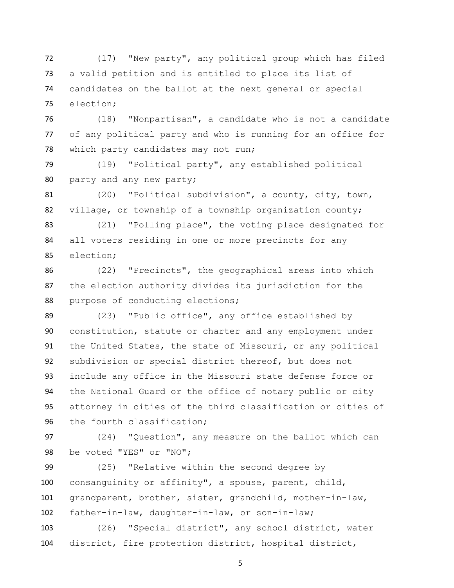(17) "New party", any political group which has filed a valid petition and is entitled to place its list of candidates on the ballot at the next general or special election;

 (18) "Nonpartisan", a candidate who is not a candidate of any political party and who is running for an office for which party candidates may not run;

 (19) "Political party", any established political party and any new party;

 (20) "Political subdivision", a county, city, town, village, or township of a township organization county;

 (21) "Polling place", the voting place designated for all voters residing in one or more precincts for any election;

 (22) "Precincts", the geographical areas into which the election authority divides its jurisdiction for the 88 purpose of conducting elections;

 (23) "Public office", any office established by constitution, statute or charter and any employment under the United States, the state of Missouri, or any political subdivision or special district thereof, but does not include any office in the Missouri state defense force or the National Guard or the office of notary public or city attorney in cities of the third classification or cities of the fourth classification;

 (24) "Question", any measure on the ballot which can 98 be voted "YES" or "NO";

 (25) "Relative within the second degree by consanguinity or affinity", a spouse, parent, child, grandparent, brother, sister, grandchild, mother-in-law, father-in-law, daughter-in-law, or son-in-law;

 (26) "Special district", any school district, water district, fire protection district, hospital district,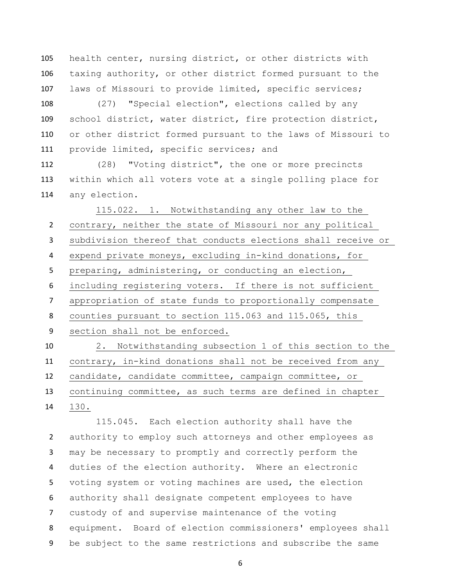health center, nursing district, or other districts with taxing authority, or other district formed pursuant to the laws of Missouri to provide limited, specific services;

 (27) "Special election", elections called by any school district, water district, fire protection district, or other district formed pursuant to the laws of Missouri to 111 provide limited, specific services; and

 (28) "Voting district", the one or more precincts within which all voters vote at a single polling place for any election.

 115.022. 1. Notwithstanding any other law to the contrary, neither the state of Missouri nor any political subdivision thereof that conducts elections shall receive or expend private moneys, excluding in-kind donations, for preparing, administering, or conducting an election, including registering voters. If there is not sufficient appropriation of state funds to proportionally compensate counties pursuant to section 115.063 and 115.065, this section shall not be enforced. 2. Notwithstanding subsection 1 of this section to the contrary, in-kind donations shall not be received from any candidate, candidate committee, campaign committee, or continuing committee, as such terms are defined in chapter

130.

115.045. Each election authority shall have the authority to employ such attorneys and other employees as may be necessary to promptly and correctly perform the duties of the election authority. Where an electronic voting system or voting machines are used, the election authority shall designate competent employees to have custody of and supervise maintenance of the voting equipment. Board of election commissioners' employees shall be subject to the same restrictions and subscribe the same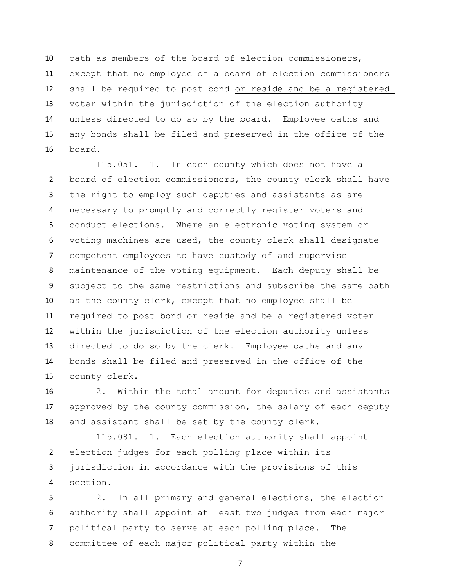oath as members of the board of election commissioners, except that no employee of a board of election commissioners shall be required to post bond or reside and be a registered voter within the jurisdiction of the election authority unless directed to do so by the board. Employee oaths and any bonds shall be filed and preserved in the office of the board.

115.051. 1. In each county which does not have a board of election commissioners, the county clerk shall have the right to employ such deputies and assistants as are necessary to promptly and correctly register voters and conduct elections. Where an electronic voting system or voting machines are used, the county clerk shall designate competent employees to have custody of and supervise maintenance of the voting equipment. Each deputy shall be subject to the same restrictions and subscribe the same oath as the county clerk, except that no employee shall be required to post bond or reside and be a registered voter within the jurisdiction of the election authority unless directed to do so by the clerk. Employee oaths and any bonds shall be filed and preserved in the office of the county clerk.

 2. Within the total amount for deputies and assistants approved by the county commission, the salary of each deputy and assistant shall be set by the county clerk.

115.081. 1. Each election authority shall appoint election judges for each polling place within its jurisdiction in accordance with the provisions of this section.

 2. In all primary and general elections, the election authority shall appoint at least two judges from each major political party to serve at each polling place. The

committee of each major political party within the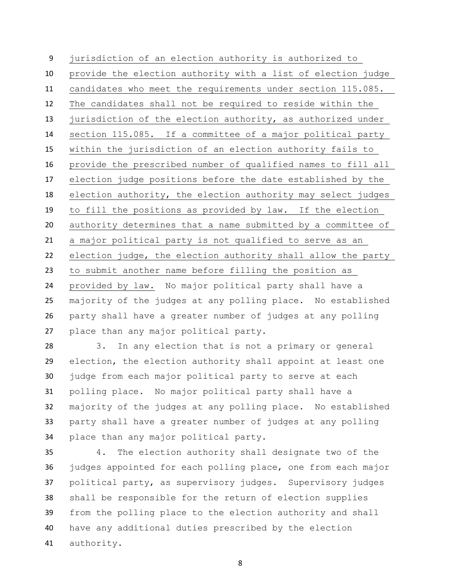jurisdiction of an election authority is authorized to provide the election authority with a list of election judge candidates who meet the requirements under section 115.085. The candidates shall not be required to reside within the jurisdiction of the election authority, as authorized under section 115.085. If a committee of a major political party within the jurisdiction of an election authority fails to provide the prescribed number of qualified names to fill all election judge positions before the date established by the election authority, the election authority may select judges to fill the positions as provided by law. If the election authority determines that a name submitted by a committee of a major political party is not qualified to serve as an election judge, the election authority shall allow the party to submit another name before filling the position as provided by law. No major political party shall have a majority of the judges at any polling place. No established party shall have a greater number of judges at any polling place than any major political party.

 3. In any election that is not a primary or general election, the election authority shall appoint at least one judge from each major political party to serve at each polling place. No major political party shall have a majority of the judges at any polling place. No established party shall have a greater number of judges at any polling place than any major political party.

 4. The election authority shall designate two of the judges appointed for each polling place, one from each major political party, as supervisory judges. Supervisory judges shall be responsible for the return of election supplies from the polling place to the election authority and shall have any additional duties prescribed by the election authority.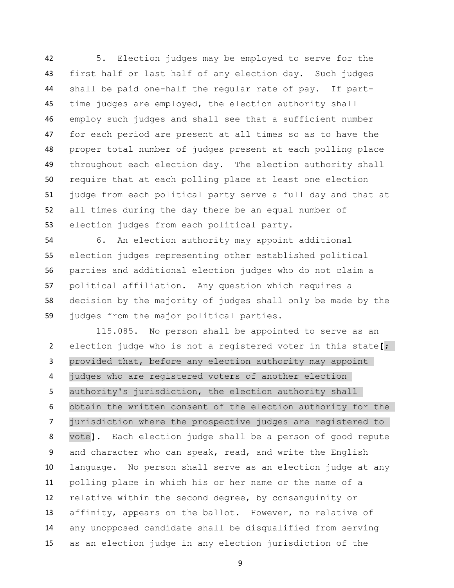5. Election judges may be employed to serve for the first half or last half of any election day. Such judges shall be paid one-half the regular rate of pay. If part- time judges are employed, the election authority shall employ such judges and shall see that a sufficient number for each period are present at all times so as to have the proper total number of judges present at each polling place throughout each election day. The election authority shall require that at each polling place at least one election judge from each political party serve a full day and that at all times during the day there be an equal number of election judges from each political party.

 6. An election authority may appoint additional election judges representing other established political parties and additional election judges who do not claim a political affiliation. Any question which requires a decision by the majority of judges shall only be made by the judges from the major political parties.

115.085. No person shall be appointed to serve as an election judge who is not a registered voter in this state**[**; provided that, before any election authority may appoint judges who are registered voters of another election authority's jurisdiction, the election authority shall obtain the written consent of the election authority for the jurisdiction where the prospective judges are registered to vote**]**. Each election judge shall be a person of good repute and character who can speak, read, and write the English language. No person shall serve as an election judge at any polling place in which his or her name or the name of a relative within the second degree, by consanguinity or affinity, appears on the ballot. However, no relative of any unopposed candidate shall be disqualified from serving as an election judge in any election jurisdiction of the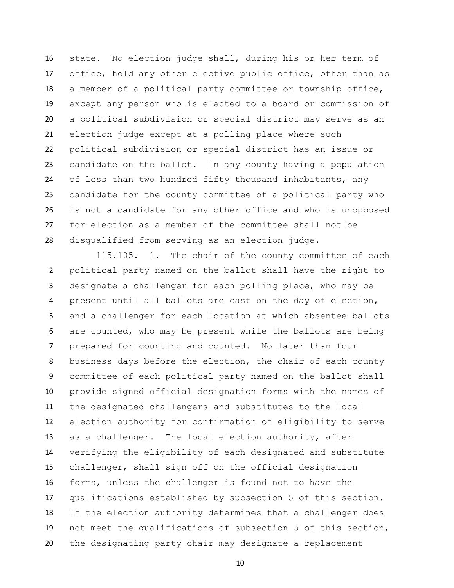state. No election judge shall, during his or her term of office, hold any other elective public office, other than as a member of a political party committee or township office, except any person who is elected to a board or commission of a political subdivision or special district may serve as an election judge except at a polling place where such political subdivision or special district has an issue or candidate on the ballot. In any county having a population of less than two hundred fifty thousand inhabitants, any candidate for the county committee of a political party who is not a candidate for any other office and who is unopposed for election as a member of the committee shall not be disqualified from serving as an election judge.

115.105. 1. The chair of the county committee of each political party named on the ballot shall have the right to designate a challenger for each polling place, who may be present until all ballots are cast on the day of election, and a challenger for each location at which absentee ballots are counted, who may be present while the ballots are being prepared for counting and counted. No later than four business days before the election, the chair of each county committee of each political party named on the ballot shall provide signed official designation forms with the names of the designated challengers and substitutes to the local election authority for confirmation of eligibility to serve as a challenger. The local election authority, after verifying the eligibility of each designated and substitute challenger, shall sign off on the official designation forms, unless the challenger is found not to have the qualifications established by subsection 5 of this section. If the election authority determines that a challenger does not meet the qualifications of subsection 5 of this section, the designating party chair may designate a replacement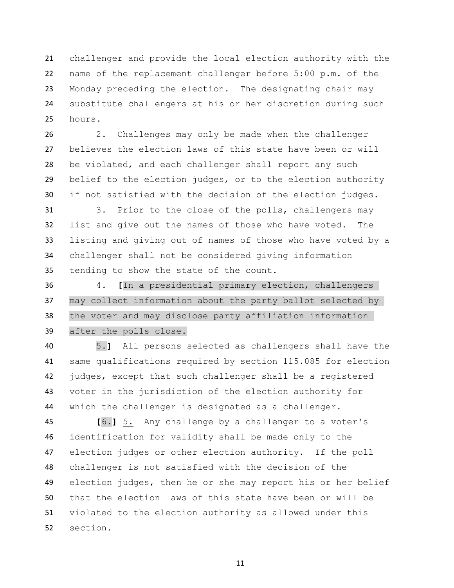challenger and provide the local election authority with the name of the replacement challenger before 5:00 p.m. of the Monday preceding the election. The designating chair may substitute challengers at his or her discretion during such hours.

 2. Challenges may only be made when the challenger believes the election laws of this state have been or will be violated, and each challenger shall report any such belief to the election judges, or to the election authority if not satisfied with the decision of the election judges.

 3. Prior to the close of the polls, challengers may list and give out the names of those who have voted. The listing and giving out of names of those who have voted by a challenger shall not be considered giving information tending to show the state of the count.

 4. **[**In a presidential primary election, challengers 37 may collect information about the party ballot selected by the voter and may disclose party affiliation information after the polls close.

 5.**]** All persons selected as challengers shall have the same qualifications required by section 115.085 for election judges, except that such challenger shall be a registered voter in the jurisdiction of the election authority for which the challenger is designated as a challenger.

 **[**6.**]** 5. Any challenge by a challenger to a voter's identification for validity shall be made only to the election judges or other election authority. If the poll challenger is not satisfied with the decision of the election judges, then he or she may report his or her belief that the election laws of this state have been or will be violated to the election authority as allowed under this section.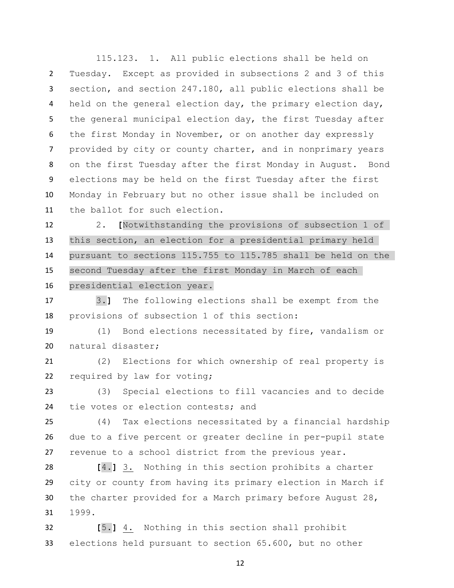115.123. 1. All public elections shall be held on Tuesday. Except as provided in subsections 2 and 3 of this section, and section 247.180, all public elections shall be held on the general election day, the primary election day, the general municipal election day, the first Tuesday after the first Monday in November, or on another day expressly 7 provided by city or county charter, and in nonprimary years on the first Tuesday after the first Monday in August. Bond elections may be held on the first Tuesday after the first Monday in February but no other issue shall be included on the ballot for such election.

 2. **[**Notwithstanding the provisions of subsection 1 of this section, an election for a presidential primary held pursuant to sections 115.755 to 115.785 shall be held on the second Tuesday after the first Monday in March of each presidential election year.

 3.**]** The following elections shall be exempt from the provisions of subsection 1 of this section:

 (1) Bond elections necessitated by fire, vandalism or natural disaster;

 (2) Elections for which ownership of real property is required by law for voting;

 (3) Special elections to fill vacancies and to decide tie votes or election contests; and

 (4) Tax elections necessitated by a financial hardship due to a five percent or greater decline in per-pupil state revenue to a school district from the previous year.

 **[**4.**]** 3. Nothing in this section prohibits a charter city or county from having its primary election in March if the charter provided for a March primary before August 28, 1999.

 **[**5.**]** 4. Nothing in this section shall prohibit elections held pursuant to section 65.600, but no other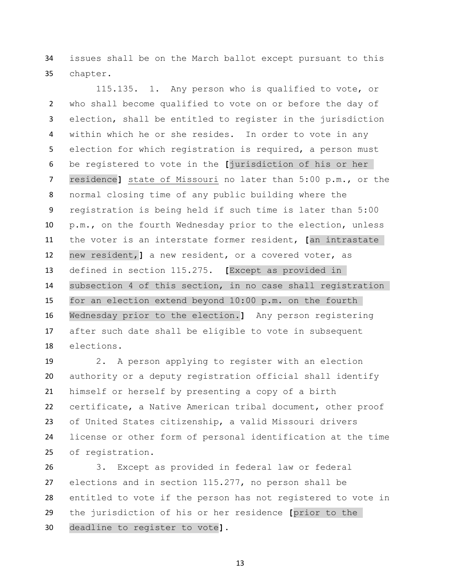issues shall be on the March ballot except pursuant to this chapter.

 115.135. 1. Any person who is qualified to vote, or who shall become qualified to vote on or before the day of election, shall be entitled to register in the jurisdiction within which he or she resides. In order to vote in any election for which registration is required, a person must be registered to vote in the **[**jurisdiction of his or her residence**]** state of Missouri no later than 5:00 p.m., or the normal closing time of any public building where the registration is being held if such time is later than 5:00 p.m., on the fourth Wednesday prior to the election, unless the voter is an interstate former resident, **[**an intrastate new resident,**]** a new resident, or a covered voter, as defined in section 115.275. **[**Except as provided in subsection 4 of this section, in no case shall registration for an election extend beyond 10:00 p.m. on the fourth Wednesday prior to the election.**]** Any person registering after such date shall be eligible to vote in subsequent elections.

 2. A person applying to register with an election authority or a deputy registration official shall identify himself or herself by presenting a copy of a birth certificate, a Native American tribal document, other proof of United States citizenship, a valid Missouri drivers license or other form of personal identification at the time of registration.

 3. Except as provided in federal law or federal elections and in section 115.277, no person shall be entitled to vote if the person has not registered to vote in the jurisdiction of his or her residence **[**prior to the deadline to register to vote**]**.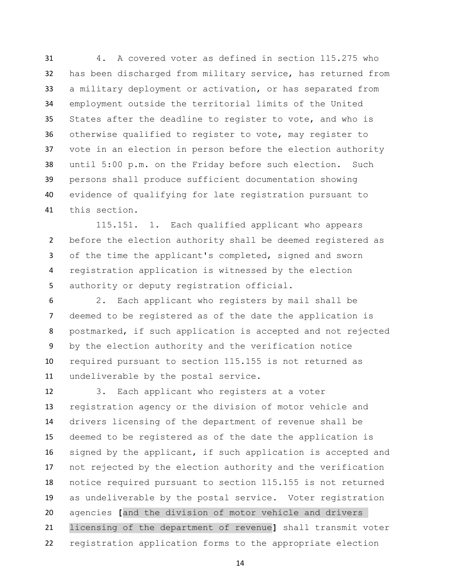4. A covered voter as defined in section 115.275 who has been discharged from military service, has returned from a military deployment or activation, or has separated from employment outside the territorial limits of the United States after the deadline to register to vote, and who is otherwise qualified to register to vote, may register to vote in an election in person before the election authority until 5:00 p.m. on the Friday before such election. Such persons shall produce sufficient documentation showing evidence of qualifying for late registration pursuant to this section.

115.151. 1. Each qualified applicant who appears before the election authority shall be deemed registered as of the time the applicant's completed, signed and sworn registration application is witnessed by the election authority or deputy registration official.

 2. Each applicant who registers by mail shall be deemed to be registered as of the date the application is postmarked, if such application is accepted and not rejected by the election authority and the verification notice required pursuant to section 115.155 is not returned as undeliverable by the postal service.

 3. Each applicant who registers at a voter registration agency or the division of motor vehicle and drivers licensing of the department of revenue shall be deemed to be registered as of the date the application is signed by the applicant, if such application is accepted and not rejected by the election authority and the verification notice required pursuant to section 115.155 is not returned as undeliverable by the postal service. Voter registration agencies **[**and the division of motor vehicle and drivers licensing of the department of revenue**]** shall transmit voter registration application forms to the appropriate election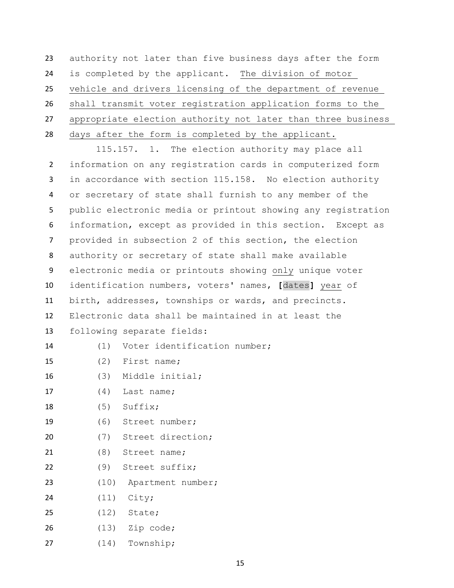authority not later than five business days after the form is completed by the applicant. The division of motor vehicle and drivers licensing of the department of revenue shall transmit voter registration application forms to the appropriate election authority not later than three business days after the form is completed by the applicant.

115.157. 1. The election authority may place all information on any registration cards in computerized form in accordance with section 115.158. No election authority or secretary of state shall furnish to any member of the public electronic media or printout showing any registration information, except as provided in this section. Except as provided in subsection 2 of this section, the election authority or secretary of state shall make available electronic media or printouts showing only unique voter identification numbers, voters' names, **[**dates**]** year of birth, addresses, townships or wards, and precincts. Electronic data shall be maintained in at least the following separate fields: (1) Voter identification number; (2) First name; (3) Middle initial; (4) Last name; (5) Suffix; (6) Street number; (7) Street direction; (8) Street name; (9) Street suffix; 23 (10) Apartment number; (11) City; (12) State; (13) Zip code;

(14) Township;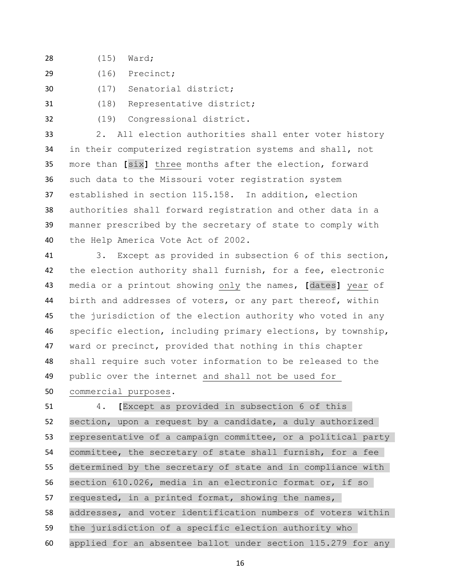- (15) Ward;
- (16) Precinct;
- (17) Senatorial district;
- (18) Representative district;
- 

(19) Congressional district.

 2. All election authorities shall enter voter history in their computerized registration systems and shall, not more than **[**six**]** three months after the election, forward such data to the Missouri voter registration system established in section 115.158. In addition, election authorities shall forward registration and other data in a manner prescribed by the secretary of state to comply with the Help America Vote Act of 2002.

 3. Except as provided in subsection 6 of this section, the election authority shall furnish, for a fee, electronic media or a printout showing only the names, **[**dates**]** year of birth and addresses of voters, or any part thereof, within the jurisdiction of the election authority who voted in any specific election, including primary elections, by township, ward or precinct, provided that nothing in this chapter shall require such voter information to be released to the public over the internet and shall not be used for

commercial purposes.

 4. **[**Except as provided in subsection 6 of this section, upon a request by a candidate, a duly authorized representative of a campaign committee, or a political party committee, the secretary of state shall furnish, for a fee determined by the secretary of state and in compliance with section 610.026, media in an electronic format or, if so requested, in a printed format, showing the names, addresses, and voter identification numbers of voters within the jurisdiction of a specific election authority who applied for an absentee ballot under section 115.279 for any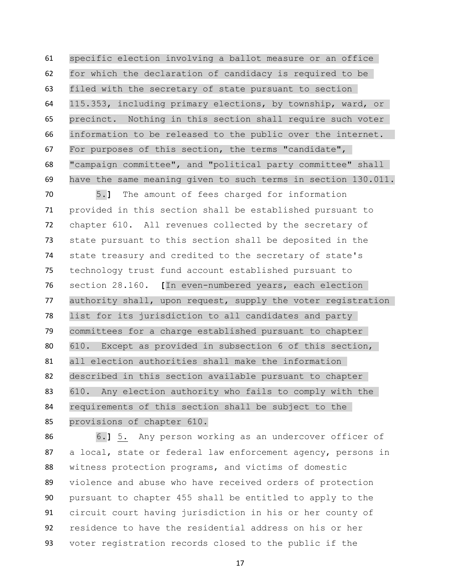specific election involving a ballot measure or an office for which the declaration of candidacy is required to be filed with the secretary of state pursuant to section 115.353, including primary elections, by township, ward, or precinct. Nothing in this section shall require such voter information to be released to the public over the internet. For purposes of this section, the terms "candidate", "campaign committee", and "political party committee" shall have the same meaning given to such terms in section 130.011.

 5.**]** The amount of fees charged for information provided in this section shall be established pursuant to chapter 610. All revenues collected by the secretary of state pursuant to this section shall be deposited in the state treasury and credited to the secretary of state's technology trust fund account established pursuant to section 28.160. **[**In even-numbered years, each election authority shall, upon request, supply the voter registration list for its jurisdiction to all candidates and party committees for a charge established pursuant to chapter 610. Except as provided in subsection 6 of this section, all election authorities shall make the information described in this section available pursuant to chapter 610. Any election authority who fails to comply with the requirements of this section shall be subject to the provisions of chapter 610.

 6.**]** 5. Any person working as an undercover officer of a local, state or federal law enforcement agency, persons in witness protection programs, and victims of domestic violence and abuse who have received orders of protection pursuant to chapter 455 shall be entitled to apply to the circuit court having jurisdiction in his or her county of residence to have the residential address on his or her voter registration records closed to the public if the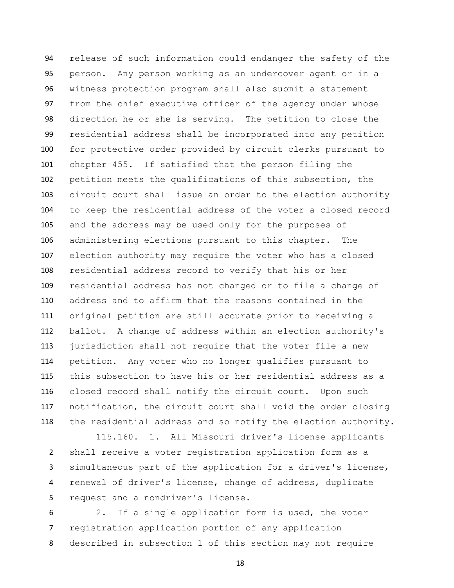release of such information could endanger the safety of the person. Any person working as an undercover agent or in a witness protection program shall also submit a statement from the chief executive officer of the agency under whose direction he or she is serving. The petition to close the residential address shall be incorporated into any petition for protective order provided by circuit clerks pursuant to chapter 455. If satisfied that the person filing the petition meets the qualifications of this subsection, the circuit court shall issue an order to the election authority to keep the residential address of the voter a closed record and the address may be used only for the purposes of administering elections pursuant to this chapter. The election authority may require the voter who has a closed residential address record to verify that his or her residential address has not changed or to file a change of address and to affirm that the reasons contained in the original petition are still accurate prior to receiving a ballot. A change of address within an election authority's jurisdiction shall not require that the voter file a new petition. Any voter who no longer qualifies pursuant to this subsection to have his or her residential address as a closed record shall notify the circuit court. Upon such notification, the circuit court shall void the order closing the residential address and so notify the election authority.

115.160. 1. All Missouri driver's license applicants shall receive a voter registration application form as a simultaneous part of the application for a driver's license, renewal of driver's license, change of address, duplicate request and a nondriver's license.

 2. If a single application form is used, the voter registration application portion of any application described in subsection 1 of this section may not require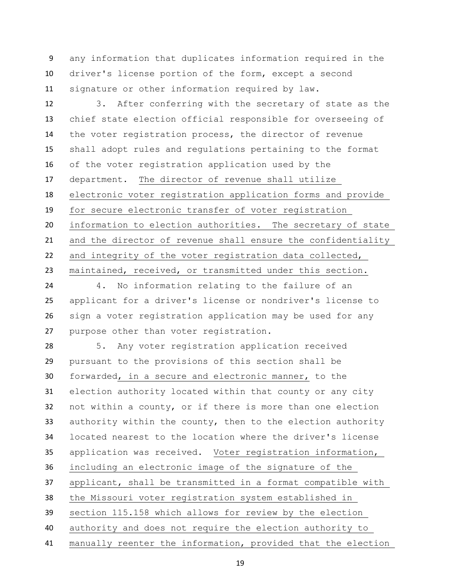any information that duplicates information required in the driver's license portion of the form, except a second signature or other information required by law.

 3. After conferring with the secretary of state as the chief state election official responsible for overseeing of the voter registration process, the director of revenue shall adopt rules and regulations pertaining to the format of the voter registration application used by the department. The director of revenue shall utilize electronic voter registration application forms and provide for secure electronic transfer of voter registration information to election authorities. The secretary of state and the director of revenue shall ensure the confidentiality and integrity of the voter registration data collected, maintained, received, or transmitted under this section.

 4. No information relating to the failure of an applicant for a driver's license or nondriver's license to sign a voter registration application may be used for any purpose other than voter registration.

 5. Any voter registration application received pursuant to the provisions of this section shall be forwarded, in a secure and electronic manner, to the election authority located within that county or any city not within a county, or if there is more than one election 33 authority within the county, then to the election authority located nearest to the location where the driver's license application was received. Voter registration information, including an electronic image of the signature of the applicant, shall be transmitted in a format compatible with the Missouri voter registration system established in section 115.158 which allows for review by the election authority and does not require the election authority to manually reenter the information, provided that the election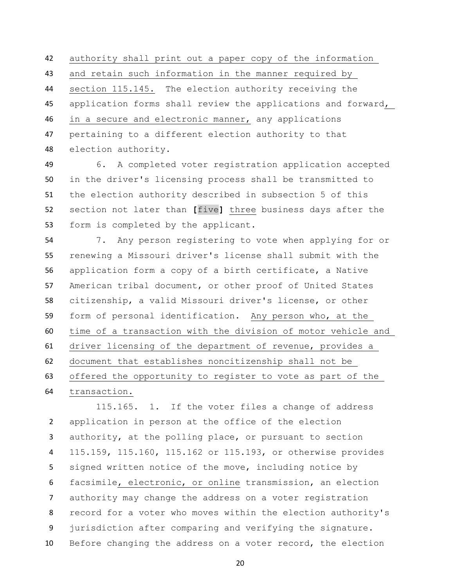authority shall print out a paper copy of the information and retain such information in the manner required by section 115.145. The election authority receiving the application forms shall review the applications and forward, in a secure and electronic manner, any applications pertaining to a different election authority to that election authority.

 6. A completed voter registration application accepted in the driver's licensing process shall be transmitted to the election authority described in subsection 5 of this section not later than **[**five**]** three business days after the form is completed by the applicant.

 7. Any person registering to vote when applying for or renewing a Missouri driver's license shall submit with the application form a copy of a birth certificate, a Native American tribal document, or other proof of United States citizenship, a valid Missouri driver's license, or other form of personal identification. Any person who, at the time of a transaction with the division of motor vehicle and driver licensing of the department of revenue, provides a document that establishes noncitizenship shall not be offered the opportunity to register to vote as part of the transaction.

 115.165. 1. If the voter files a change of address application in person at the office of the election authority, at the polling place, or pursuant to section 115.159, 115.160, 115.162 or 115.193, or otherwise provides signed written notice of the move, including notice by facsimile, electronic, or online transmission, an election authority may change the address on a voter registration record for a voter who moves within the election authority's jurisdiction after comparing and verifying the signature. Before changing the address on a voter record, the election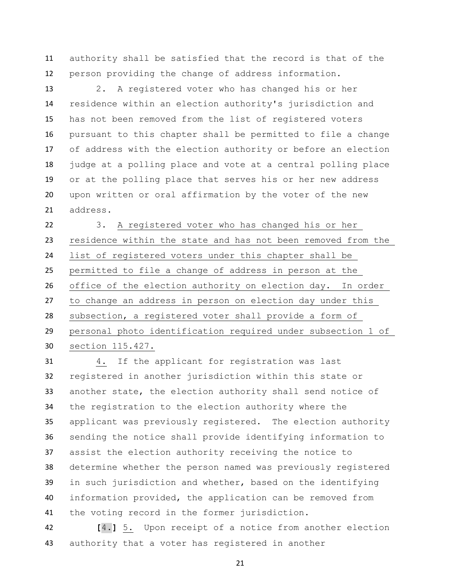authority shall be satisfied that the record is that of the person providing the change of address information.

 2. A registered voter who has changed his or her residence within an election authority's jurisdiction and has not been removed from the list of registered voters pursuant to this chapter shall be permitted to file a change of address with the election authority or before an election judge at a polling place and vote at a central polling place or at the polling place that serves his or her new address upon written or oral affirmation by the voter of the new address.

 3. A registered voter who has changed his or her residence within the state and has not been removed from the list of registered voters under this chapter shall be permitted to file a change of address in person at the office of the election authority on election day. In order to change an address in person on election day under this subsection, a registered voter shall provide a form of personal photo identification required under subsection 1 of section 115.427.

 4. If the applicant for registration was last registered in another jurisdiction within this state or another state, the election authority shall send notice of the registration to the election authority where the applicant was previously registered. The election authority sending the notice shall provide identifying information to assist the election authority receiving the notice to determine whether the person named was previously registered in such jurisdiction and whether, based on the identifying information provided, the application can be removed from the voting record in the former jurisdiction.

 **[**4.**]** 5. Upon receipt of a notice from another election authority that a voter has registered in another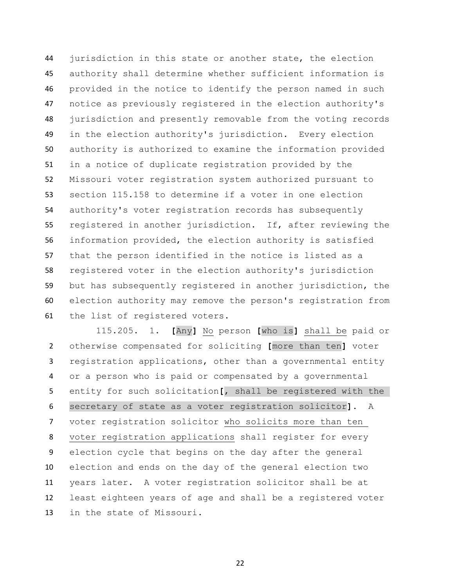jurisdiction in this state or another state, the election authority shall determine whether sufficient information is provided in the notice to identify the person named in such notice as previously registered in the election authority's jurisdiction and presently removable from the voting records in the election authority's jurisdiction. Every election authority is authorized to examine the information provided in a notice of duplicate registration provided by the Missouri voter registration system authorized pursuant to section 115.158 to determine if a voter in one election authority's voter registration records has subsequently registered in another jurisdiction. If, after reviewing the information provided, the election authority is satisfied that the person identified in the notice is listed as a registered voter in the election authority's jurisdiction but has subsequently registered in another jurisdiction, the election authority may remove the person's registration from the list of registered voters.

 115.205. 1. **[**Any**]** No person **[**who is**]** shall be paid or otherwise compensated for soliciting **[**more than ten**]** voter registration applications, other than a governmental entity or a person who is paid or compensated by a governmental entity for such solicitation**[**, shall be registered with the secretary of state as a voter registration solicitor**]**. A voter registration solicitor who solicits more than ten voter registration applications shall register for every election cycle that begins on the day after the general election and ends on the day of the general election two years later. A voter registration solicitor shall be at least eighteen years of age and shall be a registered voter in the state of Missouri.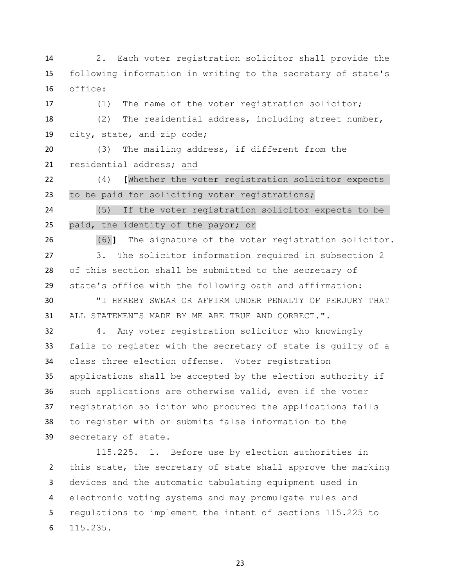2. Each voter registration solicitor shall provide the following information in writing to the secretary of state's office:

(1) The name of the voter registration solicitor;

 (2) The residential address, including street number, city, state, and zip code;

 (3) The mailing address, if different from the residential address; and

 (4) **[**Whether the voter registration solicitor expects to be paid for soliciting voter registrations;

 (5) If the voter registration solicitor expects to be paid, the identity of the payor; or

(6)**]** The signature of the voter registration solicitor.

 3. The solicitor information required in subsection 2 of this section shall be submitted to the secretary of state's office with the following oath and affirmation:

 "I HEREBY SWEAR OR AFFIRM UNDER PENALTY OF PERJURY THAT ALL STATEMENTS MADE BY ME ARE TRUE AND CORRECT.".

 4. Any voter registration solicitor who knowingly fails to register with the secretary of state is guilty of a class three election offense. Voter registration applications shall be accepted by the election authority if such applications are otherwise valid, even if the voter registration solicitor who procured the applications fails to register with or submits false information to the secretary of state.

115.225. 1. Before use by election authorities in this state, the secretary of state shall approve the marking devices and the automatic tabulating equipment used in electronic voting systems and may promulgate rules and regulations to implement the intent of sections 115.225 to 115.235.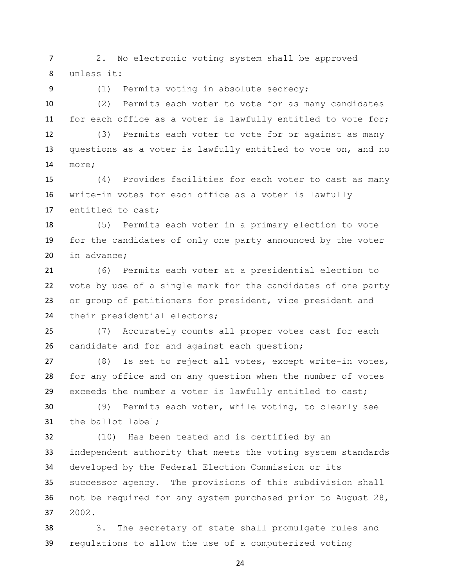2. No electronic voting system shall be approved unless it:

(1) Permits voting in absolute secrecy;

 (2) Permits each voter to vote for as many candidates for each office as a voter is lawfully entitled to vote for;

 (3) Permits each voter to vote for or against as many questions as a voter is lawfully entitled to vote on, and no more;

 (4) Provides facilities for each voter to cast as many write-in votes for each office as a voter is lawfully entitled to cast;

 (5) Permits each voter in a primary election to vote for the candidates of only one party announced by the voter 20 in advance:

 (6) Permits each voter at a presidential election to vote by use of a single mark for the candidates of one party or group of petitioners for president, vice president and 24 their presidential electors;

 (7) Accurately counts all proper votes cast for each candidate and for and against each question;

 (8) Is set to reject all votes, except write-in votes, for any office and on any question when the number of votes exceeds the number a voter is lawfully entitled to cast;

 (9) Permits each voter, while voting, to clearly see the ballot label;

 (10) Has been tested and is certified by an independent authority that meets the voting system standards developed by the Federal Election Commission or its successor agency. The provisions of this subdivision shall not be required for any system purchased prior to August 28, 2002.

 3. The secretary of state shall promulgate rules and regulations to allow the use of a computerized voting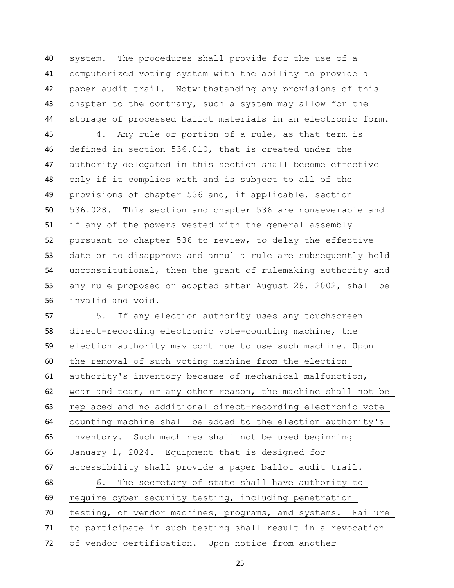system. The procedures shall provide for the use of a computerized voting system with the ability to provide a paper audit trail. Notwithstanding any provisions of this chapter to the contrary, such a system may allow for the storage of processed ballot materials in an electronic form.

 4. Any rule or portion of a rule, as that term is defined in section 536.010, that is created under the authority delegated in this section shall become effective only if it complies with and is subject to all of the provisions of chapter 536 and, if applicable, section 536.028. This section and chapter 536 are nonseverable and if any of the powers vested with the general assembly pursuant to chapter 536 to review, to delay the effective date or to disapprove and annul a rule are subsequently held unconstitutional, then the grant of rulemaking authority and any rule proposed or adopted after August 28, 2002, shall be invalid and void.

 5. If any election authority uses any touchscreen direct-recording electronic vote-counting machine, the election authority may continue to use such machine. Upon the removal of such voting machine from the election authority's inventory because of mechanical malfunction, wear and tear, or any other reason, the machine shall not be replaced and no additional direct-recording electronic vote counting machine shall be added to the election authority's inventory. Such machines shall not be used beginning January 1, 2024. Equipment that is designed for accessibility shall provide a paper ballot audit trail. 6. The secretary of state shall have authority to require cyber security testing, including penetration testing, of vendor machines, programs, and systems. Failure to participate in such testing shall result in a revocation of vendor certification. Upon notice from another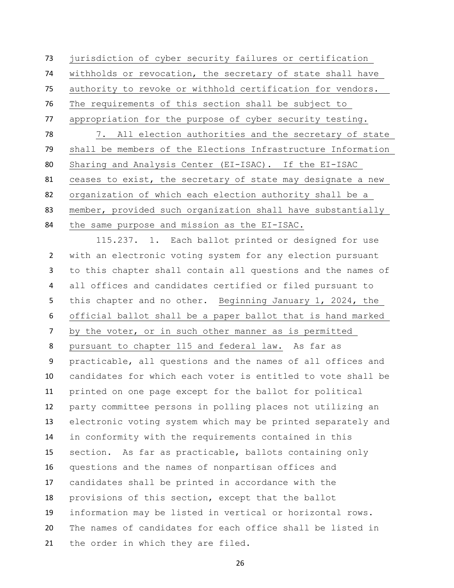jurisdiction of cyber security failures or certification withholds or revocation, the secretary of state shall have authority to revoke or withhold certification for vendors. The requirements of this section shall be subject to appropriation for the purpose of cyber security testing. 7. All election authorities and the secretary of state shall be members of the Elections Infrastructure Information Sharing and Analysis Center (EI-ISAC). If the EI-ISAC ceases to exist, the secretary of state may designate a new organization of which each election authority shall be a member, provided such organization shall have substantially the same purpose and mission as the EI-ISAC.

115.237. 1. Each ballot printed or designed for use with an electronic voting system for any election pursuant to this chapter shall contain all questions and the names of all offices and candidates certified or filed pursuant to this chapter and no other. Beginning January 1, 2024, the official ballot shall be a paper ballot that is hand marked by the voter, or in such other manner as is permitted pursuant to chapter 115 and federal law. As far as practicable, all questions and the names of all offices and candidates for which each voter is entitled to vote shall be printed on one page except for the ballot for political party committee persons in polling places not utilizing an electronic voting system which may be printed separately and in conformity with the requirements contained in this section. As far as practicable, ballots containing only questions and the names of nonpartisan offices and candidates shall be printed in accordance with the provisions of this section, except that the ballot information may be listed in vertical or horizontal rows. The names of candidates for each office shall be listed in the order in which they are filed.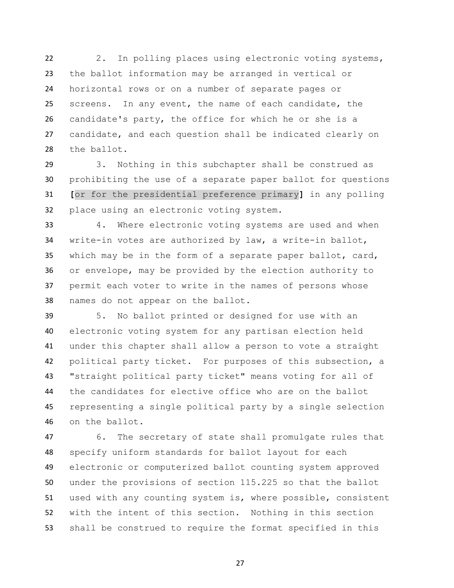2. In polling places using electronic voting systems, the ballot information may be arranged in vertical or horizontal rows or on a number of separate pages or screens. In any event, the name of each candidate, the candidate's party, the office for which he or she is a candidate, and each question shall be indicated clearly on the ballot.

 3. Nothing in this subchapter shall be construed as prohibiting the use of a separate paper ballot for questions **[**or for the presidential preference primary**]** in any polling place using an electronic voting system.

 4. Where electronic voting systems are used and when write-in votes are authorized by law, a write-in ballot, which may be in the form of a separate paper ballot, card, or envelope, may be provided by the election authority to permit each voter to write in the names of persons whose names do not appear on the ballot.

 5. No ballot printed or designed for use with an electronic voting system for any partisan election held under this chapter shall allow a person to vote a straight political party ticket. For purposes of this subsection, a "straight political party ticket" means voting for all of the candidates for elective office who are on the ballot representing a single political party by a single selection on the ballot.

 6. The secretary of state shall promulgate rules that specify uniform standards for ballot layout for each electronic or computerized ballot counting system approved under the provisions of section 115.225 so that the ballot used with any counting system is, where possible, consistent with the intent of this section. Nothing in this section shall be construed to require the format specified in this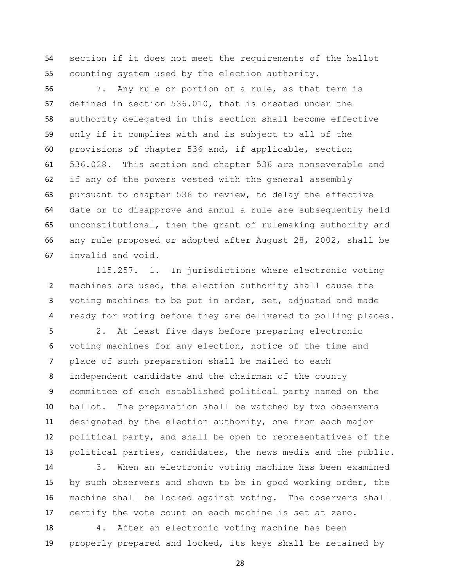section if it does not meet the requirements of the ballot counting system used by the election authority.

 7. Any rule or portion of a rule, as that term is defined in section 536.010, that is created under the authority delegated in this section shall become effective only if it complies with and is subject to all of the provisions of chapter 536 and, if applicable, section 536.028. This section and chapter 536 are nonseverable and if any of the powers vested with the general assembly pursuant to chapter 536 to review, to delay the effective date or to disapprove and annul a rule are subsequently held unconstitutional, then the grant of rulemaking authority and any rule proposed or adopted after August 28, 2002, shall be invalid and void.

 115.257. 1. In jurisdictions where electronic voting machines are used, the election authority shall cause the voting machines to be put in order, set, adjusted and made ready for voting before they are delivered to polling places.

 2. At least five days before preparing electronic voting machines for any election, notice of the time and place of such preparation shall be mailed to each independent candidate and the chairman of the county committee of each established political party named on the ballot. The preparation shall be watched by two observers designated by the election authority, one from each major political party, and shall be open to representatives of the political parties, candidates, the news media and the public.

 3. When an electronic voting machine has been examined by such observers and shown to be in good working order, the machine shall be locked against voting. The observers shall certify the vote count on each machine is set at zero.

 4. After an electronic voting machine has been properly prepared and locked, its keys shall be retained by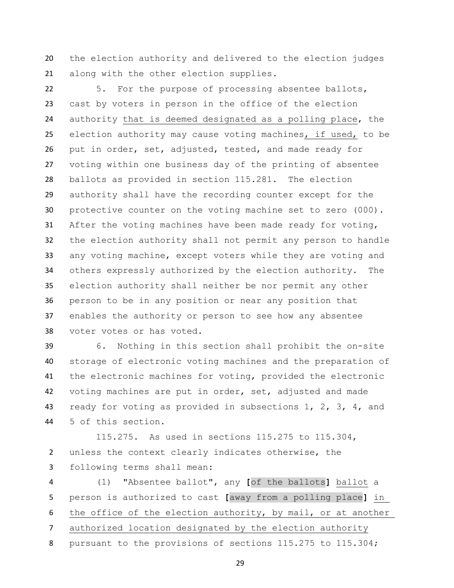the election authority and delivered to the election judges along with the other election supplies.

 5. For the purpose of processing absentee ballots, cast by voters in person in the office of the election authority that is deemed designated as a polling place, the election authority may cause voting machines, if used, to be put in order, set, adjusted, tested, and made ready for voting within one business day of the printing of absentee ballots as provided in section 115.281. The election authority shall have the recording counter except for the protective counter on the voting machine set to zero (000). After the voting machines have been made ready for voting, the election authority shall not permit any person to handle any voting machine, except voters while they are voting and others expressly authorized by the election authority. The election authority shall neither be nor permit any other person to be in any position or near any position that enables the authority or person to see how any absentee voter votes or has voted.

 6. Nothing in this section shall prohibit the on-site storage of electronic voting machines and the preparation of the electronic machines for voting, provided the electronic voting machines are put in order, set, adjusted and made 43 ready for voting as provided in subsections 1, 2, 3, 4, and 5 of this section.

 115.275. As used in sections 115.275 to 115.304, unless the context clearly indicates otherwise, the following terms shall mean:

 (1) "Absentee ballot", any **[**of the ballots**]** ballot a person is authorized to cast **[**away from a polling place**]** in 6 the office of the election authority, by mail, or at another authorized location designated by the election authority pursuant to the provisions of sections 115.275 to 115.304;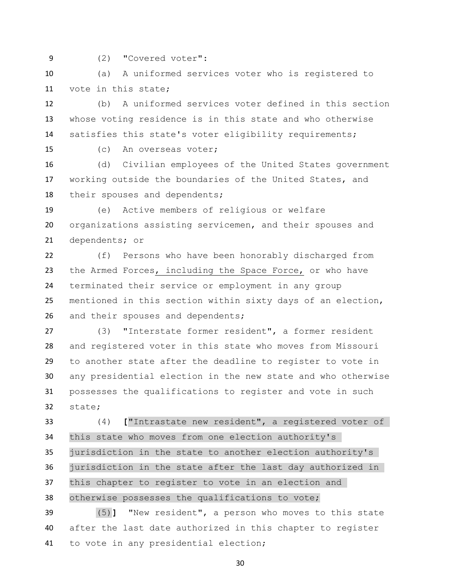- 
- (2) "Covered voter":

 (a) A uniformed services voter who is registered to vote in this state;

 (b) A uniformed services voter defined in this section whose voting residence is in this state and who otherwise satisfies this state's voter eligibility requirements;

(c) An overseas voter;

 (d) Civilian employees of the United States government working outside the boundaries of the United States, and 18 their spouses and dependents;

 (e) Active members of religious or welfare organizations assisting servicemen, and their spouses and dependents; or

 (f) Persons who have been honorably discharged from the Armed Forces, including the Space Force, or who have terminated their service or employment in any group mentioned in this section within sixty days of an election, 26 and their spouses and dependents;

 (3) "Interstate former resident", a former resident and registered voter in this state who moves from Missouri to another state after the deadline to register to vote in any presidential election in the new state and who otherwise possesses the qualifications to register and vote in such state;

 (4) **[**"Intrastate new resident", a registered voter of this state who moves from one election authority's jurisdiction in the state to another election authority's jurisdiction in the state after the last day authorized in this chapter to register to vote in an election and otherwise possesses the qualifications to vote;

 (5)**]** "New resident", a person who moves to this state after the last date authorized in this chapter to register to vote in any presidential election;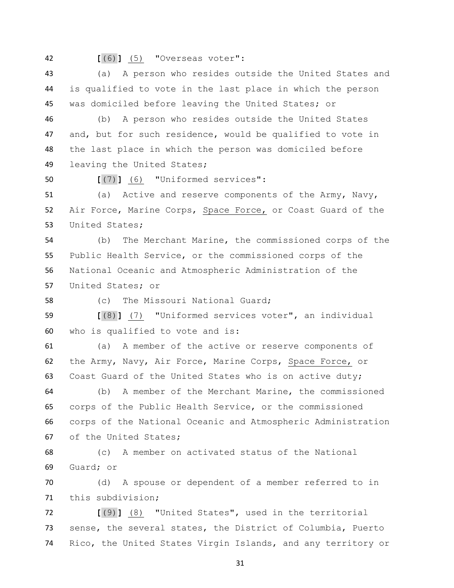**[**(6)**]** (5) "Overseas voter":

 (a) A person who resides outside the United States and is qualified to vote in the last place in which the person was domiciled before leaving the United States; or

 (b) A person who resides outside the United States and, but for such residence, would be qualified to vote in the last place in which the person was domiciled before leaving the United States;

**[**(7)**]** (6) "Uniformed services":

 (a) Active and reserve components of the Army, Navy, Air Force, Marine Corps, Space Force, or Coast Guard of the United States;

 (b) The Merchant Marine, the commissioned corps of the Public Health Service, or the commissioned corps of the National Oceanic and Atmospheric Administration of the United States; or

(c) The Missouri National Guard;

 **[**(8)**]** (7) "Uniformed services voter", an individual who is qualified to vote and is:

 (a) A member of the active or reserve components of the Army, Navy, Air Force, Marine Corps, Space Force, or Coast Guard of the United States who is on active duty;

 (b) A member of the Merchant Marine, the commissioned corps of the Public Health Service, or the commissioned corps of the National Oceanic and Atmospheric Administration of the United States;

 (c) A member on activated status of the National Guard; or

 (d) A spouse or dependent of a member referred to in this subdivision;

 **[**(9)**]** (8) "United States", used in the territorial sense, the several states, the District of Columbia, Puerto Rico, the United States Virgin Islands, and any territory or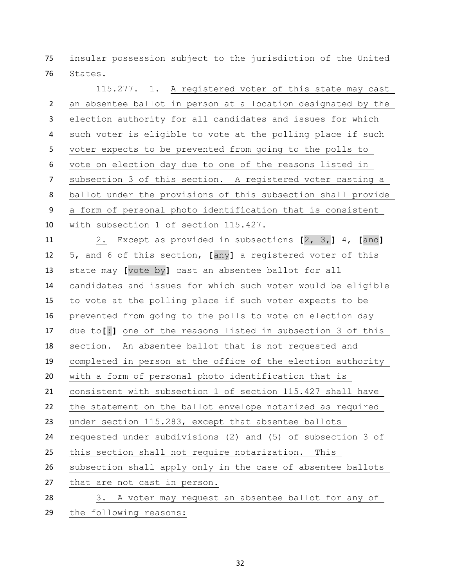insular possession subject to the jurisdiction of the United States.

115.277. 1. A registered voter of this state may cast an absentee ballot in person at a location designated by the election authority for all candidates and issues for which such voter is eligible to vote at the polling place if such voter expects to be prevented from going to the polls to vote on election day due to one of the reasons listed in subsection 3 of this section. A registered voter casting a ballot under the provisions of this subsection shall provide a form of personal photo identification that is consistent with subsection 1 of section 115.427.

 2. Except as provided in subsections **[**2, 3,**]** 4, **[**and**]** 5, and 6 of this section, **[**any**]** a registered voter of this state may **[**vote by**]** cast an absentee ballot for all candidates and issues for which such voter would be eligible to vote at the polling place if such voter expects to be prevented from going to the polls to vote on election day due to**[**:**]** one of the reasons listed in subsection 3 of this section. An absentee ballot that is not requested and completed in person at the office of the election authority with a form of personal photo identification that is consistent with subsection 1 of section 115.427 shall have the statement on the ballot envelope notarized as required under section 115.283, except that absentee ballots requested under subdivisions (2) and (5) of subsection 3 of this section shall not require notarization. This subsection shall apply only in the case of absentee ballots that are not cast in person. 3. A voter may request an absentee ballot for any of the following reasons: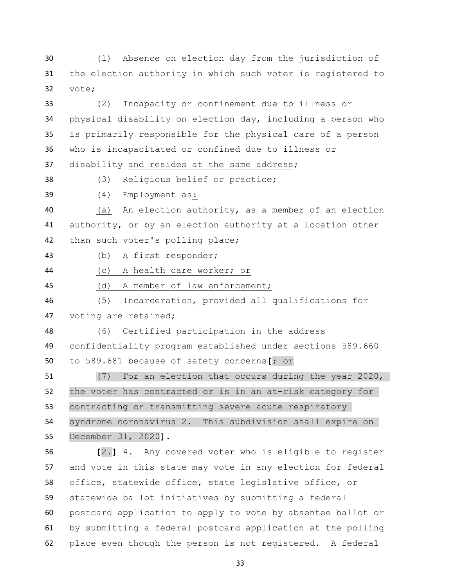(1) Absence on election day from the jurisdiction of the election authority in which such voter is registered to vote;

 (2) Incapacity or confinement due to illness or physical disability on election day, including a person who is primarily responsible for the physical care of a person who is incapacitated or confined due to illness or 37 disability and resides at the same address;

(3) Religious belief or practice;

(4) Employment as:

 (a) An election authority, as a member of an election authority, or by an election authority at a location other than such voter's polling place;

(b) A first responder;

(c) A health care worker; or

(d) A member of law enforcement;

 (5) Incarceration, provided all qualifications for voting are retained;

 (6) Certified participation in the address confidentiality program established under sections 589.660 to 589.681 because of safety concerns**[**; or

 (7) For an election that occurs during the year 2020, the voter has contracted or is in an at-risk category for contracting or transmitting severe acute respiratory syndrome coronavirus 2. This subdivision shall expire on December 31, 2020**]**.

 **[**2.**]** 4. Any covered voter who is eligible to register and vote in this state may vote in any election for federal office, statewide office, state legislative office, or statewide ballot initiatives by submitting a federal postcard application to apply to vote by absentee ballot or by submitting a federal postcard application at the polling place even though the person is not registered. A federal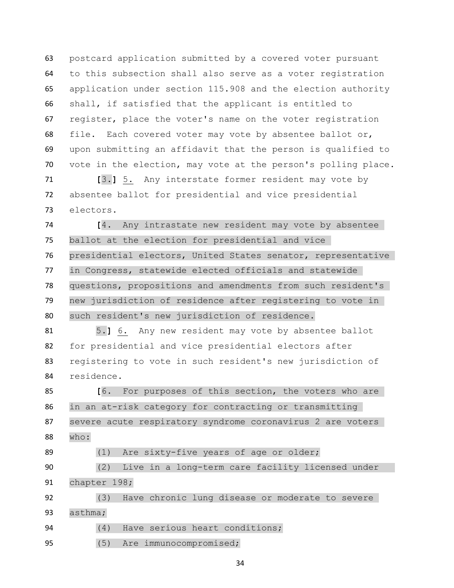postcard application submitted by a covered voter pursuant to this subsection shall also serve as a voter registration application under section 115.908 and the election authority shall, if satisfied that the applicant is entitled to register, place the voter's name on the voter registration file. Each covered voter may vote by absentee ballot or, upon submitting an affidavit that the person is qualified to vote in the election, may vote at the person's polling place.

 **[**3.**]** 5. Any interstate former resident may vote by absentee ballot for presidential and vice presidential electors.

 **[**4. Any intrastate new resident may vote by absentee ballot at the election for presidential and vice presidential electors, United States senator, representative in Congress, statewide elected officials and statewide questions, propositions and amendments from such resident's new jurisdiction of residence after registering to vote in such resident's new jurisdiction of residence.

 5.**]** 6. Any new resident may vote by absentee ballot for presidential and vice presidential electors after registering to vote in such resident's new jurisdiction of residence.

 **[**6. For purposes of this section, the voters who are in an at-risk category for contracting or transmitting severe acute respiratory syndrome coronavirus 2 are voters who:

89 (1) Are sixty-five years of age or older;

 (2) Live in a long-term care facility licensed under chapter 198;

 (3) Have chronic lung disease or moderate to severe asthma;

- (4) Have serious heart conditions;
- (5) Are immunocompromised;
	-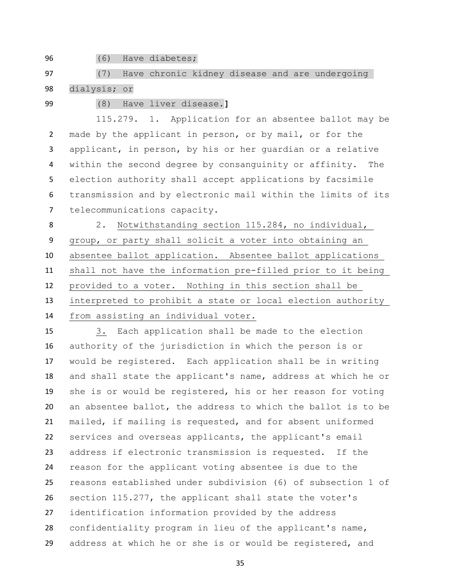(6) Have diabetes;

 (7) Have chronic kidney disease and are undergoing dialysis; or

## (8) Have liver disease.**]**

 115.279. 1. Application for an absentee ballot may be made by the applicant in person, or by mail, or for the applicant, in person, by his or her guardian or a relative within the second degree by consanguinity or affinity. The election authority shall accept applications by facsimile transmission and by electronic mail within the limits of its telecommunications capacity.

 2. Notwithstanding section 115.284, no individual, group, or party shall solicit a voter into obtaining an absentee ballot application. Absentee ballot applications shall not have the information pre-filled prior to it being provided to a voter. Nothing in this section shall be interpreted to prohibit a state or local election authority from assisting an individual voter.

 3. Each application shall be made to the election authority of the jurisdiction in which the person is or would be registered. Each application shall be in writing and shall state the applicant's name, address at which he or she is or would be registered, his or her reason for voting an absentee ballot, the address to which the ballot is to be mailed, if mailing is requested, and for absent uniformed services and overseas applicants, the applicant's email address if electronic transmission is requested. If the reason for the applicant voting absentee is due to the reasons established under subdivision (6) of subsection 1 of section 115.277, the applicant shall state the voter's identification information provided by the address confidentiality program in lieu of the applicant's name, address at which he or she is or would be registered, and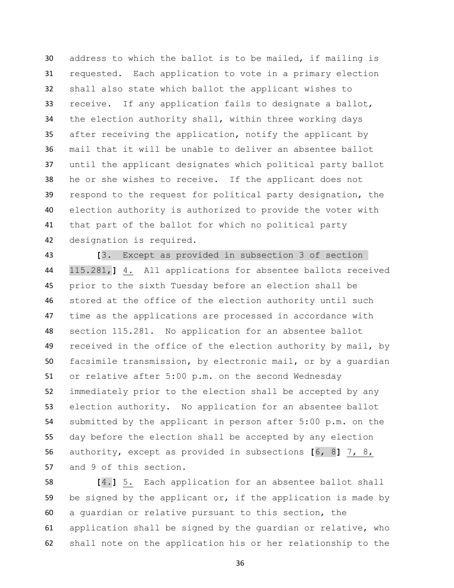address to which the ballot is to be mailed, if mailing is requested. Each application to vote in a primary election shall also state which ballot the applicant wishes to receive. If any application fails to designate a ballot, the election authority shall, within three working days after receiving the application, notify the applicant by mail that it will be unable to deliver an absentee ballot until the applicant designates which political party ballot he or she wishes to receive. If the applicant does not respond to the request for political party designation, the election authority is authorized to provide the voter with that part of the ballot for which no political party designation is required.

 **[**3. Except as provided in subsection 3 of section 115.281,**]** 4. All applications for absentee ballots received prior to the sixth Tuesday before an election shall be stored at the office of the election authority until such time as the applications are processed in accordance with section 115.281. No application for an absentee ballot received in the office of the election authority by mail, by facsimile transmission, by electronic mail, or by a guardian or relative after 5:00 p.m. on the second Wednesday immediately prior to the election shall be accepted by any election authority. No application for an absentee ballot submitted by the applicant in person after 5:00 p.m. on the day before the election shall be accepted by any election authority, except as provided in subsections **[**6, 8**]** 7, 8, and 9 of this section.

 **[**4.**]** 5. Each application for an absentee ballot shall be signed by the applicant or, if the application is made by a guardian or relative pursuant to this section, the application shall be signed by the guardian or relative, who shall note on the application his or her relationship to the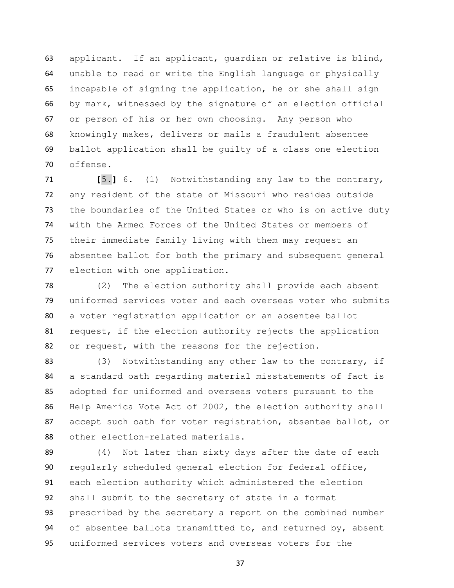applicant. If an applicant, guardian or relative is blind, unable to read or write the English language or physically incapable of signing the application, he or she shall sign by mark, witnessed by the signature of an election official or person of his or her own choosing. Any person who knowingly makes, delivers or mails a fraudulent absentee ballot application shall be guilty of a class one election offense.

 **[**5.**]** 6. (1) Notwithstanding any law to the contrary, any resident of the state of Missouri who resides outside the boundaries of the United States or who is on active duty with the Armed Forces of the United States or members of their immediate family living with them may request an absentee ballot for both the primary and subsequent general election with one application.

 (2) The election authority shall provide each absent uniformed services voter and each overseas voter who submits a voter registration application or an absentee ballot request, if the election authority rejects the application or request, with the reasons for the rejection.

83 (3) Notwithstanding any other law to the contrary, if a standard oath regarding material misstatements of fact is adopted for uniformed and overseas voters pursuant to the Help America Vote Act of 2002, the election authority shall accept such oath for voter registration, absentee ballot, or 88 other election-related materials.

 (4) Not later than sixty days after the date of each regularly scheduled general election for federal office, each election authority which administered the election shall submit to the secretary of state in a format prescribed by the secretary a report on the combined number 94 of absentee ballots transmitted to, and returned by, absent uniformed services voters and overseas voters for the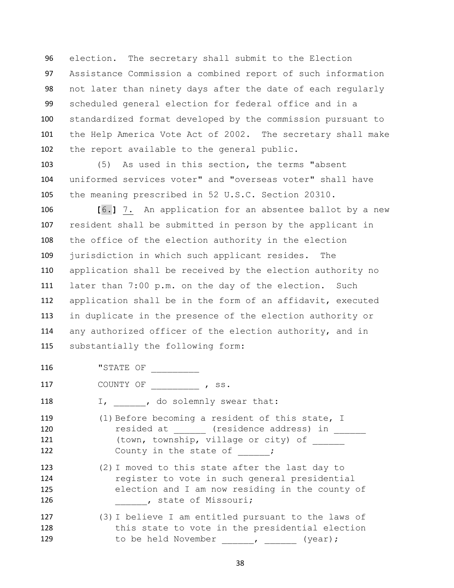election. The secretary shall submit to the Election Assistance Commission a combined report of such information not later than ninety days after the date of each regularly scheduled general election for federal office and in a standardized format developed by the commission pursuant to the Help America Vote Act of 2002. The secretary shall make the report available to the general public.

 (5) As used in this section, the terms "absent uniformed services voter" and "overseas voter" shall have the meaning prescribed in 52 U.S.C. Section 20310.

 **[**6.**]** 7. An application for an absentee ballot by a new resident shall be submitted in person by the applicant in the office of the election authority in the election jurisdiction in which such applicant resides. The application shall be received by the election authority no later than 7:00 p.m. on the day of the election. Such application shall be in the form of an affidavit, executed in duplicate in the presence of the election authority or any authorized officer of the election authority, and in substantially the following form:

116 "STATE OF 117 COUNTY OF , SS. 118 I, do solemnly swear that: (1) Before becoming a resident of this state, I resided at  $(residence address)$  in (town, township, village or city) of \_\_\_\_\_\_ County in the state of  $\cdot$  (2) I moved to this state after the last day to register to vote in such general presidential election and I am now residing in the county of \_\_\_\_\_\_, state of Missouri; (3) I believe I am entitled pursuant to the laws of this state to vote in the presidential election to be held November  $\frac{1}{\sqrt{1-\frac{1}{\sqrt{1-\frac{1}{\sqrt{1-\frac{1}{\sqrt{1-\frac{1}{\sqrt{1-\frac{1}{\sqrt{1-\frac{1}{\sqrt{1-\frac{1}{\sqrt{1-\frac{1}{\sqrt{1-\frac{1}{\sqrt{1-\frac{1}{\sqrt{1-\frac{1}{\sqrt{1-\frac{1}{\sqrt{1-\frac{1}{\sqrt{1-\frac{1}{\sqrt{1-\frac{1}{\sqrt{1-\frac{1}{\sqrt{1-\frac{1}{\sqrt{1-\frac{1}{\sqrt{1-\frac{1}{\sqrt{1-\frac{1}{\sqrt{1-\frac{1}{\sqrt{1-\frac$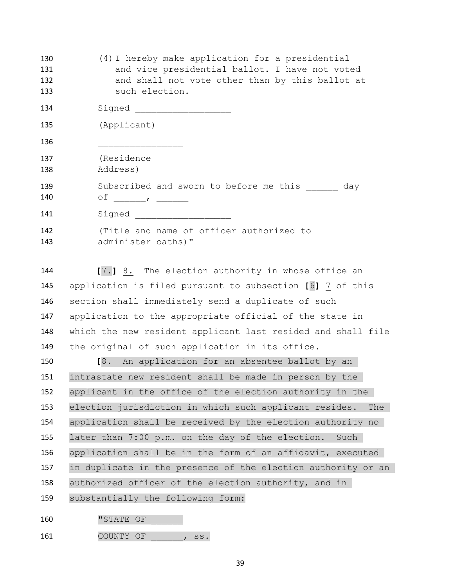(4) I hereby make application for a presidential and vice presidential ballot. I have not voted and shall not vote other than by this ballot at such election. 134 Signed (Applicant) **and the set of the set of the set of the set of the set of the set of the set of the set of the set of the set of the set of the set of the set of the set of the set of the set of the set of the set of the set of the**  (Residence Address) Subscribed and sworn to before me this day  $of$   $\frac{1}{\sqrt{1-\frac{1}{2}}}\frac{1}{\sqrt{1-\frac{1}{2}}}\frac{1}{\sqrt{1-\frac{1}{2}}}\frac{1}{\sqrt{1-\frac{1}{2}}}\frac{1}{\sqrt{1-\frac{1}{2}}}\frac{1}{\sqrt{1-\frac{1}{2}}}\frac{1}{\sqrt{1-\frac{1}{2}}}\frac{1}{\sqrt{1-\frac{1}{2}}}\frac{1}{\sqrt{1-\frac{1}{2}}}\frac{1}{\sqrt{1-\frac{1}{2}}}\frac{1}{\sqrt{1-\frac{1}{2}}}\frac{1}{\sqrt{1-\frac{1}{2}}}\frac{1}{\sqrt{1-\frac{1}{2}}}\frac{1}{\sqrt{$ 141 Signed (Title and name of officer authorized to administer oaths)"

 **[**7.**]** 8. The election authority in whose office an application is filed pursuant to subsection **[**6**]** 7 of this section shall immediately send a duplicate of such application to the appropriate official of the state in which the new resident applicant last resided and shall file the original of such application in its office.

 **[**8. An application for an absentee ballot by an intrastate new resident shall be made in person by the applicant in the office of the election authority in the election jurisdiction in which such applicant resides. The application shall be received by the election authority no later than 7:00 p.m. on the day of the election. Such application shall be in the form of an affidavit, executed in duplicate in the presence of the election authority or an 158 authorized officer of the election authority, and in substantially the following form:

| $\overline{ }$ | . | $\cap$ $\top$ |  |
|----------------|---|---------------|--|
|                |   |               |  |

161 COUNTY OF , ss.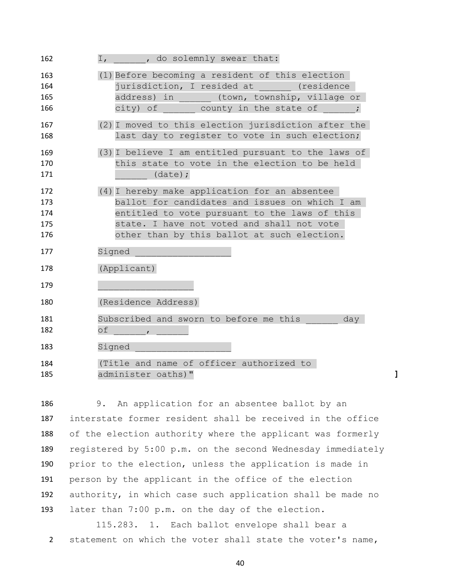| 162                             | , do solemnly swear that:<br>$I_{\ell}$                                                                                                                                                                                                       |
|---------------------------------|-----------------------------------------------------------------------------------------------------------------------------------------------------------------------------------------------------------------------------------------------|
| 163<br>164<br>165<br>166        | (1) Before becoming a resident of this election<br>jurisdiction, I resided at<br>(residence)<br>address) in<br>(town, township, village or<br>city) of<br>county in the state of                                                              |
| 167<br>168                      | $(2)$ I moved to this election jurisdiction after the<br>last day to register to vote in such election;                                                                                                                                       |
| 169<br>170<br>171               | (3) I believe I am entitled pursuant to the laws of<br>this state to vote in the election to be held<br>$(data)$ ;                                                                                                                            |
| 172<br>173<br>174<br>175<br>176 | (4) I hereby make application for an absentee<br>ballot for candidates and issues on which I am<br>entitled to vote pursuant to the laws of this<br>state. I have not voted and shall not vote<br>other than by this ballot at such election. |
| 177                             | Signed                                                                                                                                                                                                                                        |
| 178                             | (Applicant)                                                                                                                                                                                                                                   |
| 179                             |                                                                                                                                                                                                                                               |
| 180                             | (Residence Address)                                                                                                                                                                                                                           |
| 181<br>182                      | Subscribed and sworn to before me this<br>day<br>оf                                                                                                                                                                                           |
| 183                             | Signed                                                                                                                                                                                                                                        |
| 184<br>185                      | (Title and name of officer authorized to<br>administer oaths)"<br>1                                                                                                                                                                           |

 9. An application for an absentee ballot by an interstate former resident shall be received in the office of the election authority where the applicant was formerly registered by 5:00 p.m. on the second Wednesday immediately prior to the election, unless the application is made in person by the applicant in the office of the election authority, in which case such application shall be made no later than 7:00 p.m. on the day of the election.

115.283. 1. Each ballot envelope shall bear a 2 statement on which the voter shall state the voter's name,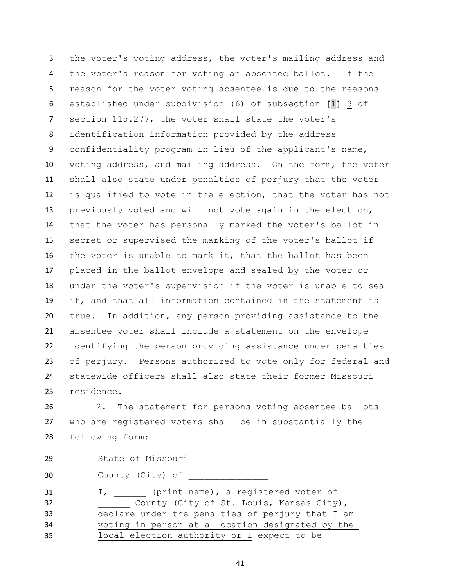the voter's voting address, the voter's mailing address and the voter's reason for voting an absentee ballot. If the reason for the voter voting absentee is due to the reasons established under subdivision (6) of subsection **[**1**]** 3 of section 115.277, the voter shall state the voter's identification information provided by the address confidentiality program in lieu of the applicant's name, voting address, and mailing address. On the form, the voter shall also state under penalties of perjury that the voter is qualified to vote in the election, that the voter has not previously voted and will not vote again in the election, that the voter has personally marked the voter's ballot in secret or supervised the marking of the voter's ballot if the voter is unable to mark it, that the ballot has been placed in the ballot envelope and sealed by the voter or under the voter's supervision if the voter is unable to seal it, and that all information contained in the statement is true. In addition, any person providing assistance to the absentee voter shall include a statement on the envelope identifying the person providing assistance under penalties of perjury. Persons authorized to vote only for federal and statewide officers shall also state their former Missouri residence.

 2. The statement for persons voting absentee ballots who are registered voters shall be in substantially the following form:

| ٠   | I |
|-----|---|
|     |   |
| . . |   |

State of Missouri

30 County (City) of

 I, (print name), a registered voter of County (City of St. Louis, Kansas City), declare under the penalties of perjury that I am voting in person at a location designated by the local election authority or I expect to be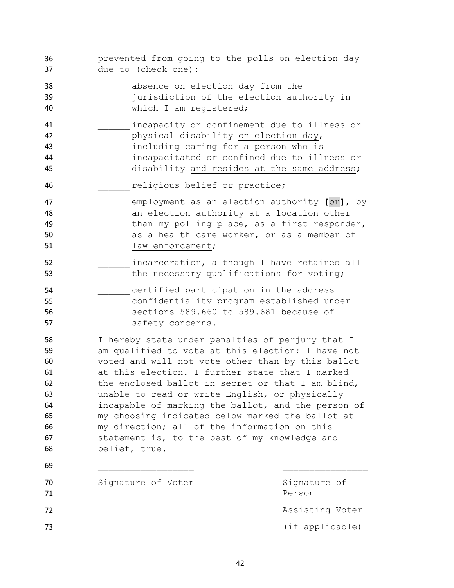| 36<br>37                                                       | prevented from going to the polls on election day<br>due to (check one):                                                                                                                                                                                                                                                                                                                                                                                                                                                                         |                 |
|----------------------------------------------------------------|--------------------------------------------------------------------------------------------------------------------------------------------------------------------------------------------------------------------------------------------------------------------------------------------------------------------------------------------------------------------------------------------------------------------------------------------------------------------------------------------------------------------------------------------------|-----------------|
| 38<br>39<br>40                                                 | absence on election day from the<br>jurisdiction of the election authority in<br>which I am registered;                                                                                                                                                                                                                                                                                                                                                                                                                                          |                 |
| 41<br>42<br>43<br>44<br>45                                     | incapacity or confinement due to illness or<br>physical disability on election day,<br>including caring for a person who is<br>incapacitated or confined due to illness or<br>disability and resides at the same address;                                                                                                                                                                                                                                                                                                                        |                 |
| 46<br>47<br>48<br>49<br>50<br>51                               | religious belief or practice;<br>employment as an election authority [or], by<br>an election authority at a location other<br>than my polling place, as a first responder,<br>as a health care worker, or as a member of<br>law enforcement;                                                                                                                                                                                                                                                                                                     |                 |
| 52<br>53                                                       | incarceration, although I have retained all<br>the necessary qualifications for voting;                                                                                                                                                                                                                                                                                                                                                                                                                                                          |                 |
| 54<br>55<br>56<br>57                                           | certified participation in the address<br>confidentiality program established under<br>sections 589.660 to 589.681 because of<br>safety concerns.                                                                                                                                                                                                                                                                                                                                                                                                |                 |
| 58<br>59<br>60<br>61<br>62<br>63<br>64<br>65<br>66<br>67<br>68 | I hereby state under penalties of perjury that I<br>am qualified to vote at this election; I have not<br>voted and will not vote other than by this ballot<br>at this election. I further state that I marked<br>the enclosed ballot in secret or that I am blind,<br>unable to read or write English, or physically<br>incapable of marking the ballot, and the person of<br>my choosing indicated below marked the ballot at<br>my direction; all of the information on this<br>statement is, to the best of my knowledge and<br>belief, true. |                 |
| 69<br>70                                                       | Signature of Voter                                                                                                                                                                                                                                                                                                                                                                                                                                                                                                                               | Signature of    |
| 71                                                             |                                                                                                                                                                                                                                                                                                                                                                                                                                                                                                                                                  | Person          |
| 72                                                             |                                                                                                                                                                                                                                                                                                                                                                                                                                                                                                                                                  | Assisting Voter |
| 73                                                             |                                                                                                                                                                                                                                                                                                                                                                                                                                                                                                                                                  | (if applicable) |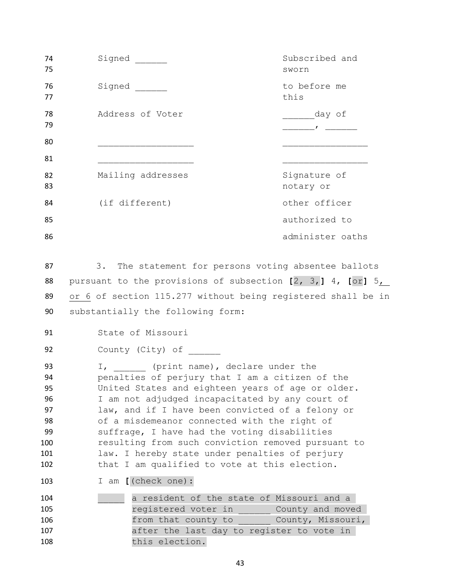| 74<br>75                                                    | Signed                                                                                                                                                                                                                                                                                                                                                                                                                                                                                                     | Subscribed and<br>sworn               |
|-------------------------------------------------------------|------------------------------------------------------------------------------------------------------------------------------------------------------------------------------------------------------------------------------------------------------------------------------------------------------------------------------------------------------------------------------------------------------------------------------------------------------------------------------------------------------------|---------------------------------------|
| 76<br>77                                                    | Signed                                                                                                                                                                                                                                                                                                                                                                                                                                                                                                     | to before me<br>this                  |
| 78<br>79                                                    | Address of Voter                                                                                                                                                                                                                                                                                                                                                                                                                                                                                           | day of                                |
| 80                                                          |                                                                                                                                                                                                                                                                                                                                                                                                                                                                                                            |                                       |
| 81                                                          |                                                                                                                                                                                                                                                                                                                                                                                                                                                                                                            |                                       |
| 82<br>83                                                    | Mailing addresses                                                                                                                                                                                                                                                                                                                                                                                                                                                                                          | Signature of<br>notary or             |
| 84                                                          | (if different)                                                                                                                                                                                                                                                                                                                                                                                                                                                                                             | other officer                         |
| 85                                                          |                                                                                                                                                                                                                                                                                                                                                                                                                                                                                                            | authorized to                         |
| 86                                                          |                                                                                                                                                                                                                                                                                                                                                                                                                                                                                                            | administer oaths                      |
| 88<br>89<br>90                                              | pursuant to the provisions of subsection [2, 3,] 4, [or] 5,<br>or 6 of section 115.277 without being registered shall be in<br>substantially the following form:                                                                                                                                                                                                                                                                                                                                           |                                       |
| 91                                                          | State of Missouri                                                                                                                                                                                                                                                                                                                                                                                                                                                                                          |                                       |
| 92                                                          | County (City) of                                                                                                                                                                                                                                                                                                                                                                                                                                                                                           |                                       |
| 93<br>94<br>95<br>96<br>97<br>98<br>99<br>100<br>101<br>102 | I, (print name), declare under the<br>penalties of perjury that I am a citizen of the<br>United States and eighteen years of age or older.<br>I am not adjudged incapacitated by any court of<br>law, and if I have been convicted of a felony or<br>of a misdemeanor connected with the right of<br>suffrage, I have had the voting disabilities<br>resulting from such conviction removed pursuant to<br>law. I hereby state under penalties of perjury<br>that I am qualified to vote at this election. |                                       |
| 103                                                         | I am [(check one) :                                                                                                                                                                                                                                                                                                                                                                                                                                                                                        |                                       |
| 104<br>105<br>106<br>107<br>108                             | a resident of the state of Missouri and a<br>registered voter in<br>from that county to<br>after the last day to register to vote in<br>this election.                                                                                                                                                                                                                                                                                                                                                     | County and moved<br>County, Missouri, |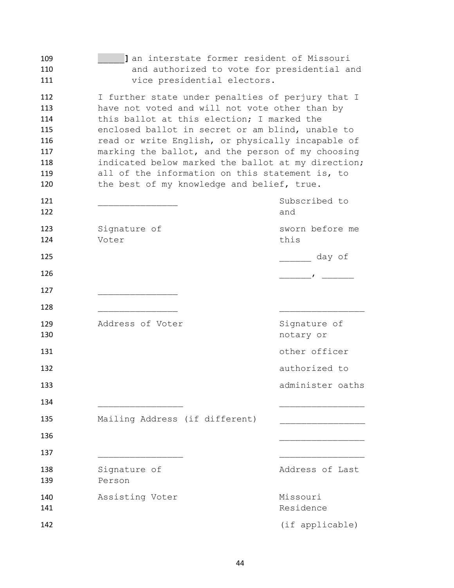| 109<br>110<br>111                                           | I an interstate former resident of Missouri<br>and authorized to vote for presidential and<br>vice presidential electors.                                                                                                                                                                                                                                                                                                                                              |                           |
|-------------------------------------------------------------|------------------------------------------------------------------------------------------------------------------------------------------------------------------------------------------------------------------------------------------------------------------------------------------------------------------------------------------------------------------------------------------------------------------------------------------------------------------------|---------------------------|
| 112<br>113<br>114<br>115<br>116<br>117<br>118<br>119<br>120 | I further state under penalties of perjury that I<br>have not voted and will not vote other than by<br>this ballot at this election; I marked the<br>enclosed ballot in secret or am blind, unable to<br>read or write English, or physically incapable of<br>marking the ballot, and the person of my choosing<br>indicated below marked the ballot at my direction;<br>all of the information on this statement is, to<br>the best of my knowledge and belief, true. |                           |
| 121<br>122                                                  |                                                                                                                                                                                                                                                                                                                                                                                                                                                                        | Subscribed to<br>and      |
| 123<br>124                                                  | Signature of<br>Voter                                                                                                                                                                                                                                                                                                                                                                                                                                                  | sworn before me<br>this   |
| 125                                                         |                                                                                                                                                                                                                                                                                                                                                                                                                                                                        | day of                    |
| 126                                                         |                                                                                                                                                                                                                                                                                                                                                                                                                                                                        |                           |
| 127                                                         |                                                                                                                                                                                                                                                                                                                                                                                                                                                                        |                           |
| 128                                                         |                                                                                                                                                                                                                                                                                                                                                                                                                                                                        |                           |
| 129<br>130                                                  | Address of Voter                                                                                                                                                                                                                                                                                                                                                                                                                                                       | Signature of<br>notary or |
| 131                                                         |                                                                                                                                                                                                                                                                                                                                                                                                                                                                        | other officer             |
| 132                                                         |                                                                                                                                                                                                                                                                                                                                                                                                                                                                        | authorized to             |
| 133                                                         |                                                                                                                                                                                                                                                                                                                                                                                                                                                                        | administer oaths          |
| 134                                                         |                                                                                                                                                                                                                                                                                                                                                                                                                                                                        |                           |
| 135                                                         | Mailing Address (if different)                                                                                                                                                                                                                                                                                                                                                                                                                                         |                           |
| 136                                                         |                                                                                                                                                                                                                                                                                                                                                                                                                                                                        |                           |
| 137                                                         |                                                                                                                                                                                                                                                                                                                                                                                                                                                                        |                           |
| 138<br>139                                                  | Signature of<br>Person                                                                                                                                                                                                                                                                                                                                                                                                                                                 | Address of Last           |
| 140<br>141                                                  | Assisting Voter                                                                                                                                                                                                                                                                                                                                                                                                                                                        | Missouri<br>Residence     |
| 142                                                         |                                                                                                                                                                                                                                                                                                                                                                                                                                                                        | (if applicable)           |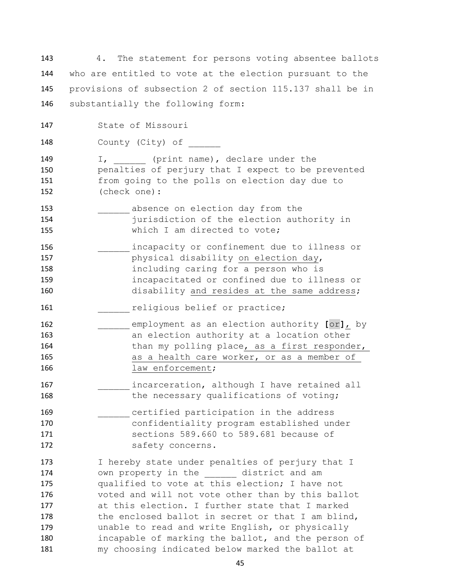4. The statement for persons voting absentee ballots who are entitled to vote at the election pursuant to the provisions of subsection 2 of section 115.137 shall be in substantially the following form:

147 State of Missouri

148 County (City) of

149 150 151 152 I, (print name), declare under the penalties of perjury that I expect to be prevented from going to the polls on election day due to (check one):

- 153 154 155 absence on election day from the jurisdiction of the election authority in which I am directed to vote:
- 156 157 158 159 160 incapacity or confinement due to illness or physical disability on election day, including caring for a person who is incapacitated or confined due to illness or disability and resides at the same address;

161 **and religious belief or practice;** 

- 162 163 164 165 166 \_\_\_\_\_\_ employment as an election authority **[**or**]**, by an election authority at a location other than my polling place, as a first responder, as a health care worker, or as a member of law enforcement;
- 167 168 incarceration, although I have retained all the necessary qualifications of voting;
- 169 170 171 172 certified participation in the address confidentiality program established under sections 589.660 to 589.681 because of safety concerns.

173 174 175 176 177 178 179 180 181 I hereby state under penalties of perjury that I own property in the \_\_\_\_\_\_ district and am qualified to vote at this election; I have not voted and will not vote other than by this ballot at this election. I further state that I marked the enclosed ballot in secret or that I am blind, unable to read and write English, or physically incapable of marking the ballot, and the person of my choosing indicated below marked the ballot at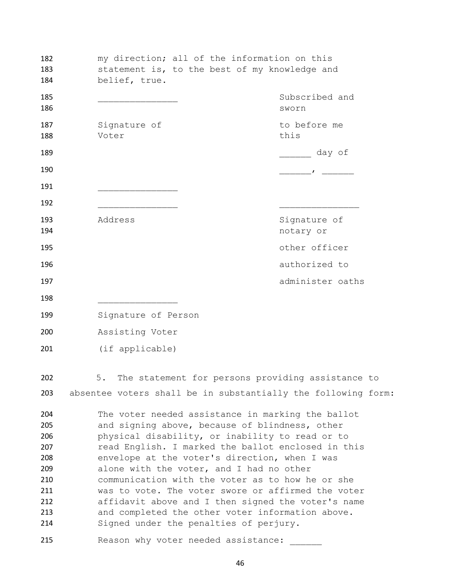| 182<br>183<br>184                                                         | my direction; all of the information on this<br>statement is, to the best of my knowledge and<br>belief, true.                                                                                                                                                                                                                                                                                                                                                                                                                                                          |                           |
|---------------------------------------------------------------------------|-------------------------------------------------------------------------------------------------------------------------------------------------------------------------------------------------------------------------------------------------------------------------------------------------------------------------------------------------------------------------------------------------------------------------------------------------------------------------------------------------------------------------------------------------------------------------|---------------------------|
| 185<br>186                                                                |                                                                                                                                                                                                                                                                                                                                                                                                                                                                                                                                                                         | Subscribed and<br>sworn   |
| 187<br>188                                                                | Signature of<br>Voter                                                                                                                                                                                                                                                                                                                                                                                                                                                                                                                                                   | to before me<br>this      |
| 189                                                                       |                                                                                                                                                                                                                                                                                                                                                                                                                                                                                                                                                                         | day of                    |
| 190                                                                       |                                                                                                                                                                                                                                                                                                                                                                                                                                                                                                                                                                         |                           |
| 191                                                                       |                                                                                                                                                                                                                                                                                                                                                                                                                                                                                                                                                                         |                           |
| 192                                                                       |                                                                                                                                                                                                                                                                                                                                                                                                                                                                                                                                                                         |                           |
| 193<br>194                                                                | Address                                                                                                                                                                                                                                                                                                                                                                                                                                                                                                                                                                 | Signature of<br>notary or |
| 195                                                                       |                                                                                                                                                                                                                                                                                                                                                                                                                                                                                                                                                                         | other officer             |
| 196                                                                       |                                                                                                                                                                                                                                                                                                                                                                                                                                                                                                                                                                         | authorized to             |
| 197                                                                       |                                                                                                                                                                                                                                                                                                                                                                                                                                                                                                                                                                         | administer oaths          |
| 198                                                                       |                                                                                                                                                                                                                                                                                                                                                                                                                                                                                                                                                                         |                           |
| 199                                                                       | Signature of Person                                                                                                                                                                                                                                                                                                                                                                                                                                                                                                                                                     |                           |
| 200                                                                       | Assisting Voter                                                                                                                                                                                                                                                                                                                                                                                                                                                                                                                                                         |                           |
| 201                                                                       | (if applicable)                                                                                                                                                                                                                                                                                                                                                                                                                                                                                                                                                         |                           |
| 202                                                                       | The statement for persons providing assistance to<br>5.                                                                                                                                                                                                                                                                                                                                                                                                                                                                                                                 |                           |
| 203                                                                       | absentee voters shall be in substantially the following form:                                                                                                                                                                                                                                                                                                                                                                                                                                                                                                           |                           |
| 204<br>205<br>206<br>207<br>208<br>209<br>210<br>211<br>212<br>213<br>214 | The voter needed assistance in marking the ballot<br>and signing above, because of blindness, other<br>physical disability, or inability to read or to<br>read English. I marked the ballot enclosed in this<br>envelope at the voter's direction, when I was<br>alone with the voter, and I had no other<br>communication with the voter as to how he or she<br>was to vote. The voter swore or affirmed the voter<br>affidavit above and I then signed the voter's name<br>and completed the other voter information above.<br>Signed under the penalties of perjury. |                           |
| 215                                                                       | Reason why voter needed assistance:                                                                                                                                                                                                                                                                                                                                                                                                                                                                                                                                     |                           |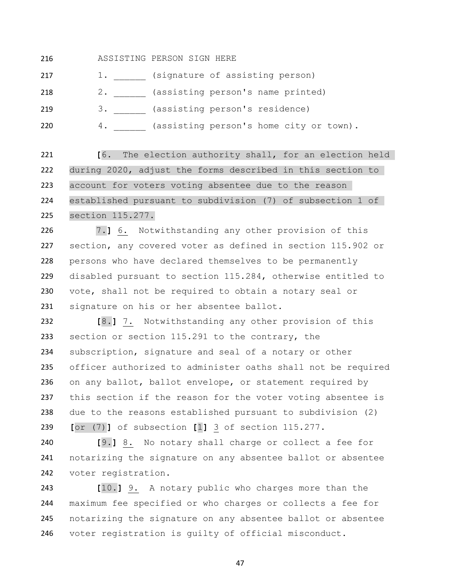## ASSISTING PERSON SIGN HERE

- 217 1. (signature of assisting person)
- 218 2. (assisting person's name printed)

219 3. \_\_\_\_\_\_\_ (assisting person's residence)

4. \_\_\_\_\_\_ (assisting person's home city or town).

 **[**6. The election authority shall, for an election held during 2020, adjust the forms described in this section to account for voters voting absentee due to the reason established pursuant to subdivision (7) of subsection 1 of section 115.277.

 7.**]** 6. Notwithstanding any other provision of this section, any covered voter as defined in section 115.902 or persons who have declared themselves to be permanently disabled pursuant to section 115.284, otherwise entitled to vote, shall not be required to obtain a notary seal or signature on his or her absentee ballot.

 **[**8.**]** 7. Notwithstanding any other provision of this section or section 115.291 to the contrary, the subscription, signature and seal of a notary or other officer authorized to administer oaths shall not be required on any ballot, ballot envelope, or statement required by this section if the reason for the voter voting absentee is due to the reasons established pursuant to subdivision (2) **[**or (7)**]** of subsection **[**1**]** 3 of section 115.277.

 **[**9.**]** 8. No notary shall charge or collect a fee for notarizing the signature on any absentee ballot or absentee voter registration.

 **[**10.**]** 9. A notary public who charges more than the maximum fee specified or who charges or collects a fee for notarizing the signature on any absentee ballot or absentee voter registration is guilty of official misconduct.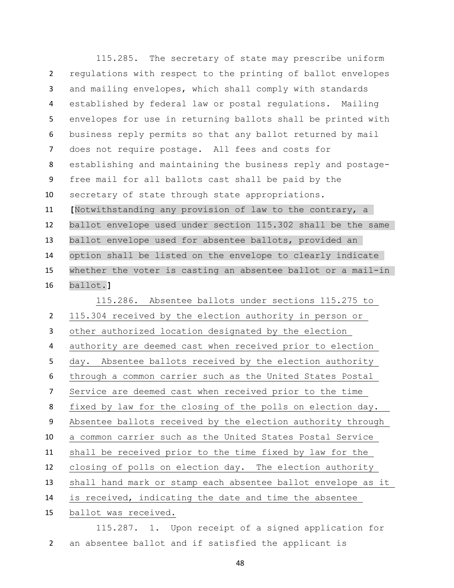115.285. The secretary of state may prescribe uniform regulations with respect to the printing of ballot envelopes and mailing envelopes, which shall comply with standards established by federal law or postal regulations. Mailing envelopes for use in returning ballots shall be printed with business reply permits so that any ballot returned by mail does not require postage. All fees and costs for establishing and maintaining the business reply and postage- free mail for all ballots cast shall be paid by the secretary of state through state appropriations. **[**Notwithstanding any provision of law to the contrary, a ballot envelope used under section 115.302 shall be the same ballot envelope used for absentee ballots, provided an option shall be listed on the envelope to clearly indicate whether the voter is casting an absentee ballot or a mail-in ballot.**]**

 115.286. Absentee ballots under sections 115.275 to 115.304 received by the election authority in person or other authorized location designated by the election authority are deemed cast when received prior to election day. Absentee ballots received by the election authority through a common carrier such as the United States Postal Service are deemed cast when received prior to the time fixed by law for the closing of the polls on election day. Absentee ballots received by the election authority through a common carrier such as the United States Postal Service shall be received prior to the time fixed by law for the closing of polls on election day. The election authority shall hand mark or stamp each absentee ballot envelope as it is received, indicating the date and time the absentee ballot was received.

115.287. 1. Upon receipt of a signed application for an absentee ballot and if satisfied the applicant is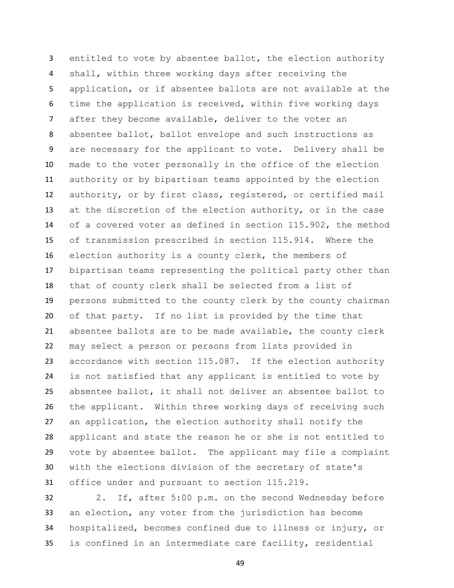entitled to vote by absentee ballot, the election authority shall, within three working days after receiving the application, or if absentee ballots are not available at the time the application is received, within five working days after they become available, deliver to the voter an absentee ballot, ballot envelope and such instructions as are necessary for the applicant to vote. Delivery shall be made to the voter personally in the office of the election authority or by bipartisan teams appointed by the election authority, or by first class, registered, or certified mail at the discretion of the election authority, or in the case of a covered voter as defined in section 115.902, the method of transmission prescribed in section 115.914. Where the election authority is a county clerk, the members of bipartisan teams representing the political party other than that of county clerk shall be selected from a list of persons submitted to the county clerk by the county chairman of that party. If no list is provided by the time that absentee ballots are to be made available, the county clerk may select a person or persons from lists provided in accordance with section 115.087. If the election authority is not satisfied that any applicant is entitled to vote by absentee ballot, it shall not deliver an absentee ballot to the applicant. Within three working days of receiving such an application, the election authority shall notify the applicant and state the reason he or she is not entitled to vote by absentee ballot. The applicant may file a complaint with the elections division of the secretary of state's office under and pursuant to section 115.219.

 2. If, after 5:00 p.m. on the second Wednesday before an election, any voter from the jurisdiction has become hospitalized, becomes confined due to illness or injury, or is confined in an intermediate care facility, residential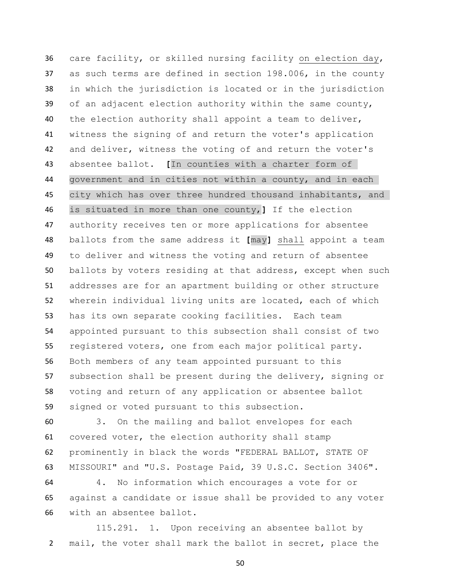care facility, or skilled nursing facility on election day, as such terms are defined in section 198.006, in the county in which the jurisdiction is located or in the jurisdiction of an adjacent election authority within the same county, the election authority shall appoint a team to deliver, witness the signing of and return the voter's application and deliver, witness the voting of and return the voter's absentee ballot. **[**In counties with a charter form of government and in cities not within a county, and in each city which has over three hundred thousand inhabitants, and is situated in more than one county,**]** If the election authority receives ten or more applications for absentee ballots from the same address it **[**may**]** shall appoint a team to deliver and witness the voting and return of absentee ballots by voters residing at that address, except when such addresses are for an apartment building or other structure wherein individual living units are located, each of which has its own separate cooking facilities. Each team appointed pursuant to this subsection shall consist of two registered voters, one from each major political party. Both members of any team appointed pursuant to this subsection shall be present during the delivery, signing or voting and return of any application or absentee ballot signed or voted pursuant to this subsection.

 3. On the mailing and ballot envelopes for each covered voter, the election authority shall stamp prominently in black the words "FEDERAL BALLOT, STATE OF MISSOURI" and "U.S. Postage Paid, 39 U.S.C. Section 3406".

 4. No information which encourages a vote for or against a candidate or issue shall be provided to any voter with an absentee ballot.

115.291. 1. Upon receiving an absentee ballot by mail, the voter shall mark the ballot in secret, place the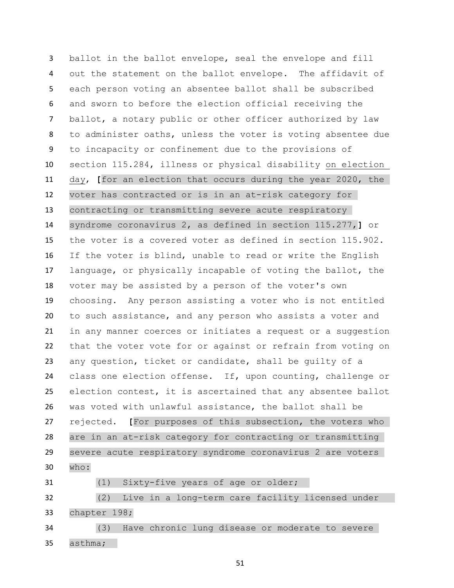ballot in the ballot envelope, seal the envelope and fill out the statement on the ballot envelope. The affidavit of each person voting an absentee ballot shall be subscribed and sworn to before the election official receiving the ballot, a notary public or other officer authorized by law to administer oaths, unless the voter is voting absentee due to incapacity or confinement due to the provisions of section 115.284, illness or physical disability on election day, **[**for an election that occurs during the year 2020, the voter has contracted or is in an at-risk category for contracting or transmitting severe acute respiratory syndrome coronavirus 2, as defined in section 115.277,**]** or the voter is a covered voter as defined in section 115.902. If the voter is blind, unable to read or write the English language, or physically incapable of voting the ballot, the voter may be assisted by a person of the voter's own choosing. Any person assisting a voter who is not entitled to such assistance, and any person who assists a voter and in any manner coerces or initiates a request or a suggestion that the voter vote for or against or refrain from voting on any question, ticket or candidate, shall be guilty of a class one election offense. If, upon counting, challenge or election contest, it is ascertained that any absentee ballot was voted with unlawful assistance, the ballot shall be rejected. **[**For purposes of this subsection, the voters who are in an at-risk category for contracting or transmitting severe acute respiratory syndrome coronavirus 2 are voters who:

(1) Sixty-five years of age or older;

 (2) Live in a long-term care facility licensed under chapter 198;

 (3) Have chronic lung disease or moderate to severe asthma;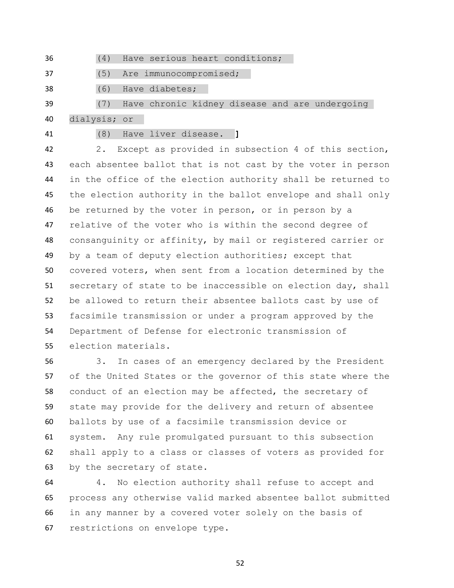(4) Have serious heart conditions;

- (5) Are immunocompromised;
- (6) Have diabetes;

 (7) Have chronic kidney disease and are undergoing dialysis; or

(8) Have liver disease. **]**

 2. Except as provided in subsection 4 of this section, each absentee ballot that is not cast by the voter in person in the office of the election authority shall be returned to the election authority in the ballot envelope and shall only be returned by the voter in person, or in person by a relative of the voter who is within the second degree of consanguinity or affinity, by mail or registered carrier or by a team of deputy election authorities; except that covered voters, when sent from a location determined by the secretary of state to be inaccessible on election day, shall be allowed to return their absentee ballots cast by use of facsimile transmission or under a program approved by the Department of Defense for electronic transmission of election materials.

 3. In cases of an emergency declared by the President of the United States or the governor of this state where the conduct of an election may be affected, the secretary of state may provide for the delivery and return of absentee ballots by use of a facsimile transmission device or system. Any rule promulgated pursuant to this subsection shall apply to a class or classes of voters as provided for by the secretary of state.

 4. No election authority shall refuse to accept and process any otherwise valid marked absentee ballot submitted in any manner by a covered voter solely on the basis of restrictions on envelope type.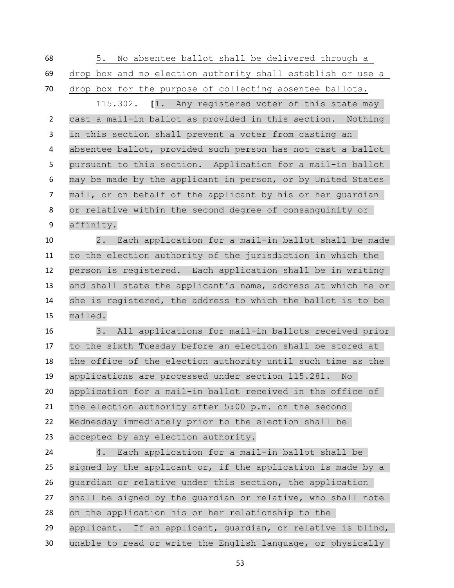5. No absentee ballot shall be delivered through a drop box and no election authority shall establish or use a drop box for the purpose of collecting absentee ballots.

 115.302. **[**1. Any registered voter of this state may cast a mail-in ballot as provided in this section. Nothing in this section shall prevent a voter from casting an absentee ballot, provided such person has not cast a ballot pursuant to this section. Application for a mail-in ballot may be made by the applicant in person, or by United States mail, or on behalf of the applicant by his or her guardian or relative within the second degree of consanguinity or affinity.

 2. Each application for a mail-in ballot shall be made to the election authority of the jurisdiction in which the person is registered. Each application shall be in writing and shall state the applicant's name, address at which he or she is registered, the address to which the ballot is to be mailed.

 3. All applications for mail-in ballots received prior to the sixth Tuesday before an election shall be stored at the office of the election authority until such time as the applications are processed under section 115.281. No application for a mail-in ballot received in the office of the election authority after 5:00 p.m. on the second Wednesday immediately prior to the election shall be accepted by any election authority.

 4. Each application for a mail-in ballot shall be 25 signed by the applicant or, if the application is made by a guardian or relative under this section, the application shall be signed by the guardian or relative, who shall note on the application his or her relationship to the applicant. If an applicant, guardian, or relative is blind, unable to read or write the English language, or physically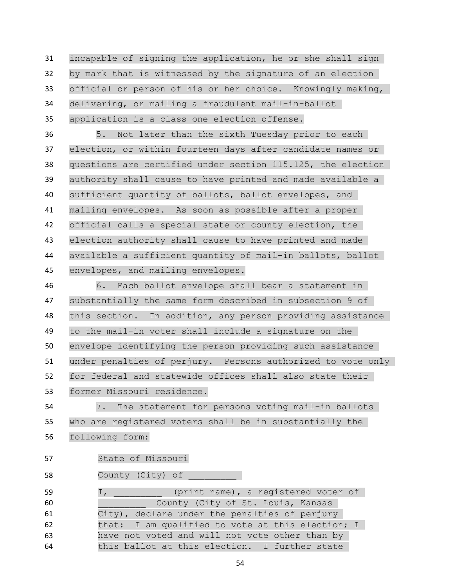incapable of signing the application, he or she shall sign by mark that is witnessed by the signature of an election official or person of his or her choice. Knowingly making, delivering, or mailing a fraudulent mail-in-ballot application is a class one election offense.

 5. Not later than the sixth Tuesday prior to each election, or within fourteen days after candidate names or questions are certified under section 115.125, the election authority shall cause to have printed and made available a sufficient quantity of ballots, ballot envelopes, and mailing envelopes. As soon as possible after a proper official calls a special state or county election, the election authority shall cause to have printed and made available a sufficient quantity of mail-in ballots, ballot envelopes, and mailing envelopes.

 6. Each ballot envelope shall bear a statement in substantially the same form described in subsection 9 of this section. In addition, any person providing assistance to the mail-in voter shall include a signature on the envelope identifying the person providing such assistance under penalties of perjury. Persons authorized to vote only for federal and statewide offices shall also state their former Missouri residence.

 7. The statement for persons voting mail-in ballots who are registered voters shall be in substantially the following form:

State of Missouri

58 County (City) of

 I, example (print name), a registered voter of County (City of St. Louis, Kansas City), declare under the penalties of perjury that: I am qualified to vote at this election; I have not voted and will not vote other than by this ballot at this election. I further state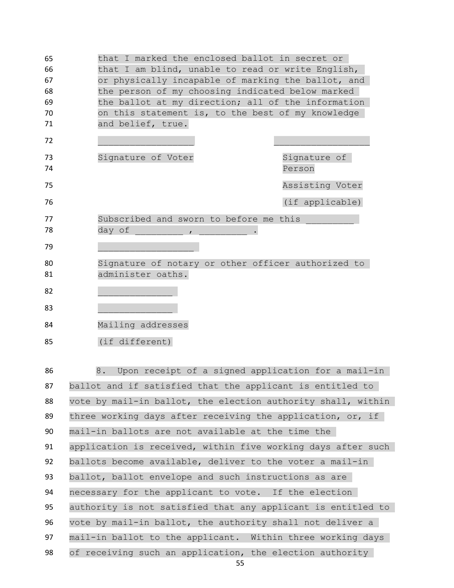that I marked the enclosed ballot in secret or that I am blind, unable to read or write English, or physically incapable of marking the ballot, and the person of my choosing indicated below marked the ballot at my direction; all of the information on this statement is, to the best of my knowledge and belief, true. Signature of Voter Signature of Person Assisting Voter (if applicable) Subscribed and sworn to before me this day of \_\_\_\_\_\_\_\_\_\_\_\_\_\_\_\_\_\_ Signature of notary or other officer authorized to administer oaths. \_\_\_\_\_\_\_\_\_\_\_\_\_\_  $\overline{\phantom{a}}$  Mailing addresses (if different)

 8. Upon receipt of a signed application for a mail-in ballot and if satisfied that the applicant is entitled to vote by mail-in ballot, the election authority shall, within 89 three working days after receiving the application, or, if mail-in ballots are not available at the time the application is received, within five working days after such ballots become available, deliver to the voter a mail-in ballot, ballot envelope and such instructions as are necessary for the applicant to vote. If the election authority is not satisfied that any applicant is entitled to vote by mail-in ballot, the authority shall not deliver a mail-in ballot to the applicant. Within three working days 98 of receiving such an application, the election authority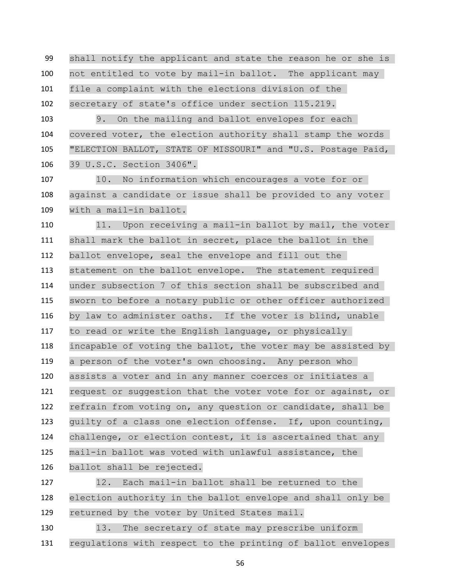shall notify the applicant and state the reason he or she is not entitled to vote by mail-in ballot. The applicant may file a complaint with the elections division of the secretary of state's office under section 115.219.

 9. On the mailing and ballot envelopes for each covered voter, the election authority shall stamp the words "ELECTION BALLOT, STATE OF MISSOURI" and "U.S. Postage Paid, 39 U.S.C. Section 3406".

 10. No information which encourages a vote for or against a candidate or issue shall be provided to any voter with a mail-in ballot.

 11. Upon receiving a mail-in ballot by mail, the voter shall mark the ballot in secret, place the ballot in the ballot envelope, seal the envelope and fill out the statement on the ballot envelope. The statement required under subsection 7 of this section shall be subscribed and sworn to before a notary public or other officer authorized by law to administer oaths. If the voter is blind, unable to read or write the English language, or physically incapable of voting the ballot, the voter may be assisted by a person of the voter's own choosing. Any person who assists a voter and in any manner coerces or initiates a request or suggestion that the voter vote for or against, or refrain from voting on, any question or candidate, shall be 123 quilty of a class one election offense. If, upon counting, 124 challenge, or election contest, it is ascertained that any mail-in ballot was voted with unlawful assistance, the ballot shall be rejected.

 12. Each mail-in ballot shall be returned to the election authority in the ballot envelope and shall only be returned by the voter by United States mail.

 13. The secretary of state may prescribe uniform regulations with respect to the printing of ballot envelopes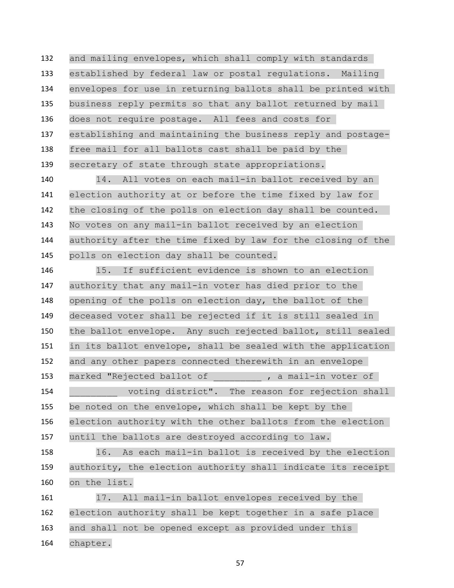and mailing envelopes, which shall comply with standards established by federal law or postal regulations. Mailing envelopes for use in returning ballots shall be printed with business reply permits so that any ballot returned by mail does not require postage. All fees and costs for establishing and maintaining the business reply and postage- free mail for all ballots cast shall be paid by the secretary of state through state appropriations.

 14. All votes on each mail-in ballot received by an election authority at or before the time fixed by law for the closing of the polls on election day shall be counted. No votes on any mail-in ballot received by an election authority after the time fixed by law for the closing of the polls on election day shall be counted.

 15. If sufficient evidence is shown to an election authority that any mail-in voter has died prior to the opening of the polls on election day, the ballot of the deceased voter shall be rejected if it is still sealed in the ballot envelope. Any such rejected ballot, still sealed in its ballot envelope, shall be sealed with the application and any other papers connected therewith in an envelope 153 marked "Rejected ballot of (a mail-in voter of **The voting district".** The reason for rejection shall be noted on the envelope, which shall be kept by the election authority with the other ballots from the election until the ballots are destroyed according to law.

 16. As each mail-in ballot is received by the election authority, the election authority shall indicate its receipt on the list.

 17. All mail-in ballot envelopes received by the election authority shall be kept together in a safe place and shall not be opened except as provided under this chapter.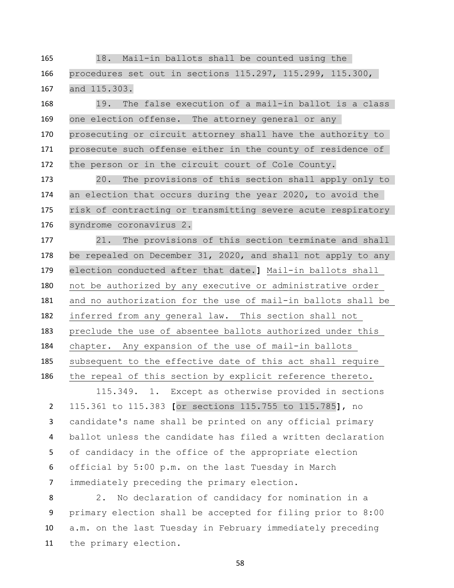18. Mail-in ballots shall be counted using the procedures set out in sections 115.297, 115.299, 115.300, and 115.303.

 19. The false execution of a mail-in ballot is a class one election offense. The attorney general or any prosecuting or circuit attorney shall have the authority to prosecute such offense either in the county of residence of the person or in the circuit court of Cole County.

 20. The provisions of this section shall apply only to 174 an election that occurs during the year 2020, to avoid the risk of contracting or transmitting severe acute respiratory syndrome coronavirus 2.

 21. The provisions of this section terminate and shall 178 be repealed on December 31, 2020, and shall not apply to any election conducted after that date.**]** Mail-in ballots shall not be authorized by any executive or administrative order and no authorization for the use of mail-in ballots shall be inferred from any general law. This section shall not preclude the use of absentee ballots authorized under this chapter. Any expansion of the use of mail-in ballots subsequent to the effective date of this act shall require the repeal of this section by explicit reference thereto.

115.349. 1. Except as otherwise provided in sections 115.361 to 115.383 **[**or sections 115.755 to 115.785**]**, no candidate's name shall be printed on any official primary ballot unless the candidate has filed a written declaration of candidacy in the office of the appropriate election official by 5:00 p.m. on the last Tuesday in March immediately preceding the primary election.

 2. No declaration of candidacy for nomination in a primary election shall be accepted for filing prior to 8:00 a.m. on the last Tuesday in February immediately preceding the primary election.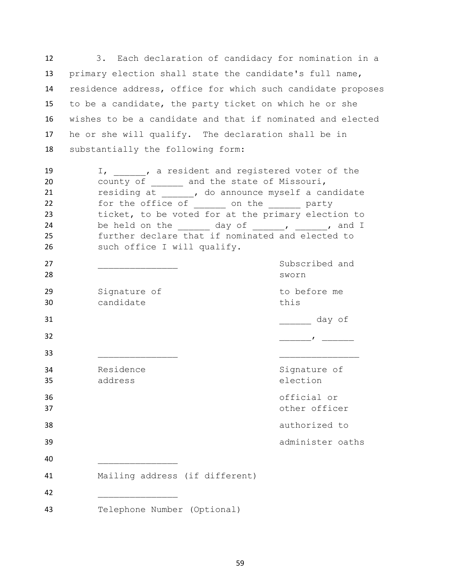3. Each declaration of candidacy for nomination in a primary election shall state the candidate's full name, residence address, office for which such candidate proposes to be a candidate, the party ticket on which he or she wishes to be a candidate and that if nominated and elected he or she will qualify. The declaration shall be in substantially the following form:

 I, a resident and registered voter of the county of \_\_\_\_\_\_ and the state of Missouri, residing at  $\qquad \qquad$ , do announce myself a candidate for the office of \_\_\_\_\_\_ on the \_\_\_\_\_\_ party ticket, to be voted for at the primary election to be held on the \_\_\_\_\_\_\_ day of \_\_\_\_\_\_, \_\_\_\_\_, and I further declare that if nominated and elected to such office I will qualify. Subscribed and sworn Signature of candidate to before me this 31 day of  $\frac{1}{2}$   $\frac{1}{2}$   $\frac{1}{2}$   $\frac{1}{2}$   $\frac{1}{2}$   $\frac{1}{2}$   $\frac{1}{2}$   $\frac{1}{2}$   $\frac{1}{2}$   $\frac{1}{2}$   $\frac{1}{2}$   $\frac{1}{2}$   $\frac{1}{2}$   $\frac{1}{2}$   $\frac{1}{2}$   $\frac{1}{2}$   $\frac{1}{2}$   $\frac{1}{2}$   $\frac{1}{2}$   $\frac{1}{2}$   $\frac{1}{2}$   $\frac{1}{$  Residence address Signature of election official or other officer authorized to administer oaths \_\_\_\_\_\_\_\_\_\_\_\_\_\_\_ Mailing address (if different) Telephone Number (Optional)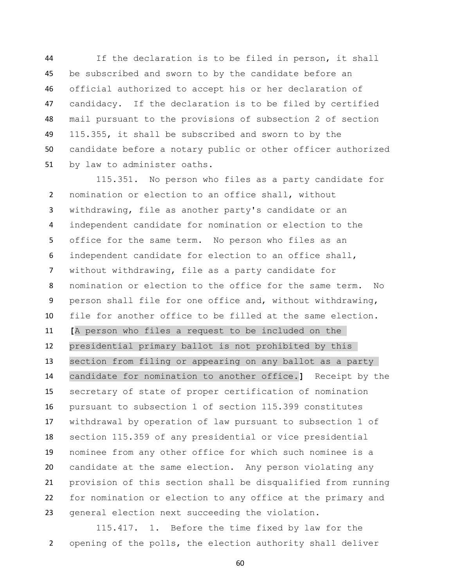If the declaration is to be filed in person, it shall be subscribed and sworn to by the candidate before an official authorized to accept his or her declaration of candidacy. If the declaration is to be filed by certified mail pursuant to the provisions of subsection 2 of section 115.355, it shall be subscribed and sworn to by the candidate before a notary public or other officer authorized by law to administer oaths.

115.351. No person who files as a party candidate for nomination or election to an office shall, without withdrawing, file as another party's candidate or an independent candidate for nomination or election to the office for the same term. No person who files as an independent candidate for election to an office shall, without withdrawing, file as a party candidate for nomination or election to the office for the same term. No person shall file for one office and, without withdrawing, file for another office to be filled at the same election. **[**A person who files a request to be included on the presidential primary ballot is not prohibited by this section from filing or appearing on any ballot as a party candidate for nomination to another office.**]** Receipt by the secretary of state of proper certification of nomination pursuant to subsection 1 of section 115.399 constitutes withdrawal by operation of law pursuant to subsection 1 of section 115.359 of any presidential or vice presidential nominee from any other office for which such nominee is a candidate at the same election. Any person violating any provision of this section shall be disqualified from running for nomination or election to any office at the primary and general election next succeeding the violation.

115.417. 1. Before the time fixed by law for the opening of the polls, the election authority shall deliver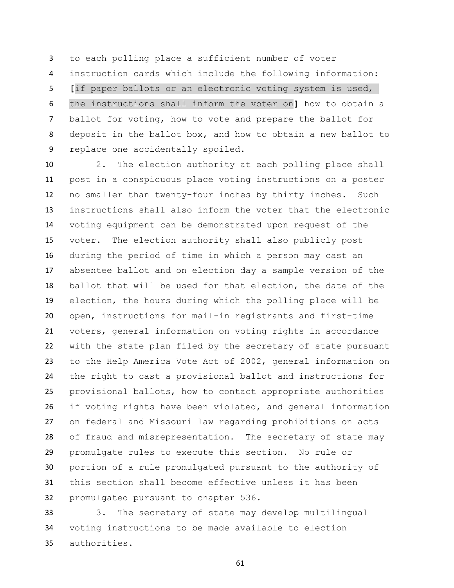to each polling place a sufficient number of voter instruction cards which include the following information: **[**if paper ballots or an electronic voting system is used, the instructions shall inform the voter on**]** how to obtain a ballot for voting, how to vote and prepare the ballot for deposit in the ballot box, and how to obtain a new ballot to replace one accidentally spoiled.

 2. The election authority at each polling place shall post in a conspicuous place voting instructions on a poster no smaller than twenty-four inches by thirty inches. Such instructions shall also inform the voter that the electronic voting equipment can be demonstrated upon request of the voter. The election authority shall also publicly post during the period of time in which a person may cast an absentee ballot and on election day a sample version of the ballot that will be used for that election, the date of the election, the hours during which the polling place will be open, instructions for mail-in registrants and first-time voters, general information on voting rights in accordance with the state plan filed by the secretary of state pursuant to the Help America Vote Act of 2002, general information on the right to cast a provisional ballot and instructions for provisional ballots, how to contact appropriate authorities if voting rights have been violated, and general information on federal and Missouri law regarding prohibitions on acts of fraud and misrepresentation. The secretary of state may promulgate rules to execute this section. No rule or portion of a rule promulgated pursuant to the authority of this section shall become effective unless it has been promulgated pursuant to chapter 536.

 3. The secretary of state may develop multilingual voting instructions to be made available to election authorities.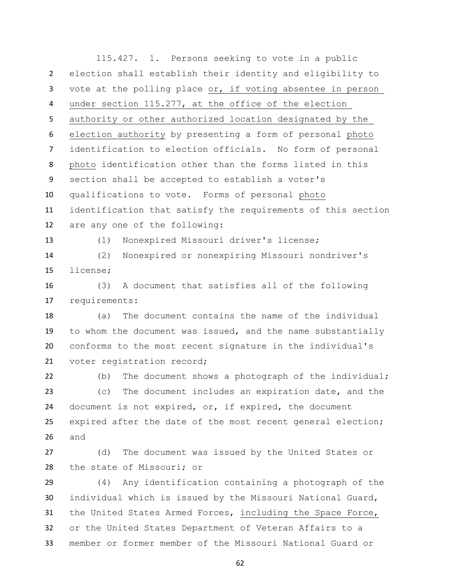115.427. 1. Persons seeking to vote in a public election shall establish their identity and eligibility to vote at the polling place or, if voting absentee in person under section 115.277, at the office of the election authority or other authorized location designated by the election authority by presenting a form of personal photo identification to election officials. No form of personal photo identification other than the forms listed in this section shall be accepted to establish a voter's qualifications to vote. Forms of personal photo identification that satisfy the requirements of this section are any one of the following: (1) Nonexpired Missouri driver's license; (2) Nonexpired or nonexpiring Missouri nondriver's license; (3) A document that satisfies all of the following requirements: (a) The document contains the name of the individual to whom the document was issued, and the name substantially conforms to the most recent signature in the individual's voter registration record; (b) The document shows a photograph of the individual; (c) The document includes an expiration date, and the document is not expired, or, if expired, the document expired after the date of the most recent general election; and (d) The document was issued by the United States or the state of Missouri; or (4) Any identification containing a photograph of the individual which is issued by the Missouri National Guard, the United States Armed Forces, including the Space Force, or the United States Department of Veteran Affairs to a member or former member of the Missouri National Guard or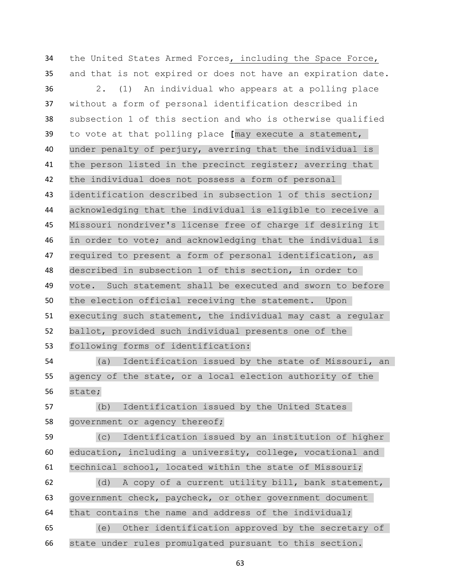the United States Armed Forces, including the Space Force, and that is not expired or does not have an expiration date. 2. (1) An individual who appears at a polling place without a form of personal identification described in subsection 1 of this section and who is otherwise qualified to vote at that polling place **[**may execute a statement, under penalty of perjury, averring that the individual is the person listed in the precinct register; averring that the individual does not possess a form of personal identification described in subsection 1 of this section; acknowledging that the individual is eligible to receive a Missouri nondriver's license free of charge if desiring it in order to vote; and acknowledging that the individual is required to present a form of personal identification, as described in subsection 1 of this section, in order to vote. Such statement shall be executed and sworn to before the election official receiving the statement. Upon executing such statement, the individual may cast a regular ballot, provided such individual presents one of the following forms of identification:

 (a) Identification issued by the state of Missouri, an agency of the state, or a local election authority of the state;

 (b) Identification issued by the United States government or agency thereof;

 (c) Identification issued by an institution of higher education, including a university, college, vocational and technical school, located within the state of Missouri;

 (d) A copy of a current utility bill, bank statement, government check, paycheck, or other government document that contains the name and address of the individual;

 (e) Other identification approved by the secretary of state under rules promulgated pursuant to this section.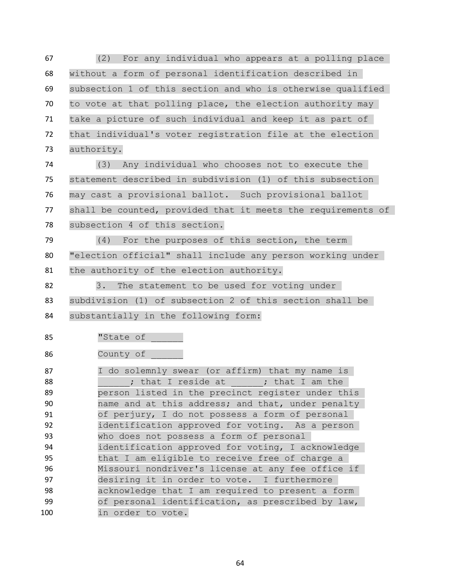(2) For any individual who appears at a polling place without a form of personal identification described in subsection 1 of this section and who is otherwise qualified to vote at that polling place, the election authority may take a picture of such individual and keep it as part of that individual's voter registration file at the election authority.

 (3) Any individual who chooses not to execute the statement described in subdivision (1) of this subsection may cast a provisional ballot. Such provisional ballot shall be counted, provided that it meets the requirements of subsection 4 of this section.

 (4) For the purposes of this section, the term "election official" shall include any person working under 81 the authority of the election authority.

 3. The statement to be used for voting under subdivision (1) of subsection 2 of this section shall be substantially in the following form:

85 "State of

86 County of

 I do solemnly swear (or affirm) that my name is ; that I reside at ; that I am the person listed in the precinct register under this name and at this address; and that, under penalty of perjury, I do not possess a form of personal identification approved for voting. As a person who does not possess a form of personal identification approved for voting, I acknowledge that I am eligible to receive free of charge a Missouri nondriver's license at any fee office if desiring it in order to vote. I furthermore acknowledge that I am required to present a form of personal identification, as prescribed by law, in order to vote.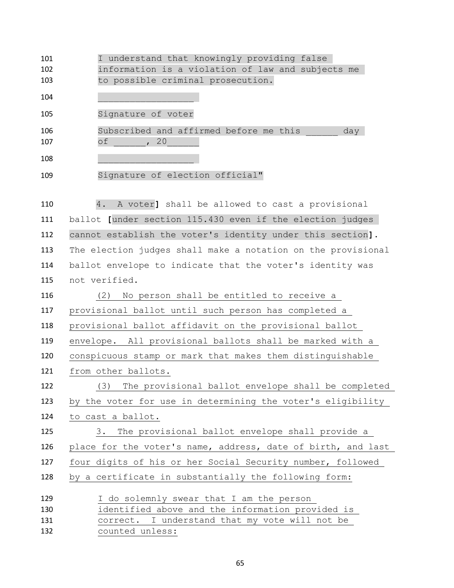| 101 | I understand that knowingly providing false       |
|-----|---------------------------------------------------|
| 102 | information is a violation of law and subjects me |
| 103 | to possible criminal prosecution.                 |
| 104 |                                                   |
| 105 | Signature of voter                                |
| 106 | Subscribed and affirmed before me this<br>day     |
| 107 | оf<br>$\sqrt{20}$                                 |
| 108 |                                                   |

## Signature of election official"

 4. A voter**]** shall be allowed to cast a provisional ballot **[**under section 115.430 even if the election judges cannot establish the voter's identity under this section**]**. The election judges shall make a notation on the provisional ballot envelope to indicate that the voter's identity was not verified.

 (2) No person shall be entitled to receive a provisional ballot until such person has completed a provisional ballot affidavit on the provisional ballot envelope. All provisional ballots shall be marked with a conspicuous stamp or mark that makes them distinguishable from other ballots. (3) The provisional ballot envelope shall be completed by the voter for use in determining the voter's eligibility to cast a ballot. 3. The provisional ballot envelope shall provide a place for the voter's name, address, date of birth, and last four digits of his or her Social Security number, followed by a certificate in substantially the following form: I do solemnly swear that I am the person

| 130 | identified above and the information provided is |
|-----|--------------------------------------------------|
| 131 | correct. I understand that my vote will not be   |
| 132 | counted unless:                                  |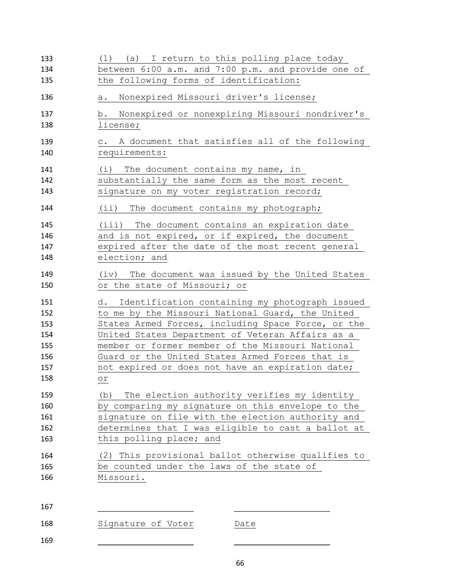| 133 | (1) (a) I return to this polling place today                |  |
|-----|-------------------------------------------------------------|--|
| 134 | between 6:00 a.m. and 7:00 p.m. and provide one of          |  |
| 135 | the following forms of identification:                      |  |
| 136 | Nonexpired Missouri driver's license;<br>a.                 |  |
| 137 | Nonexpired or nonexpiring Missouri nondriver's<br>b.        |  |
| 138 | license;                                                    |  |
| 139 | A document that satisfies all of the following<br>$\circ$ . |  |
| 140 | requirements:                                               |  |
| 141 | The document contains my name, in<br>(i)                    |  |
| 142 | substantially the same form as the most recent              |  |
| 143 | signature on my voter registration record;                  |  |
| 144 | (ii) The document contains my photograph;                   |  |
| 145 | (iii) The document contains an expiration date              |  |
| 146 | and is not expired, or if expired, the document             |  |
| 147 | expired after the date of the most recent general           |  |
| 148 | election; and                                               |  |
| 149 | (iv) The document was issued by the United States           |  |
| 150 | or the state of Missouri; or                                |  |
| 151 | Identification containing my photograph issued<br>d.        |  |
| 152 | to me by the Missouri National Guard, the United            |  |
| 153 | States Armed Forces, including Space Force, or the          |  |
| 154 | United States Department of Veteran Affairs as a            |  |
| 155 | member or former member of the Missouri National            |  |
| 156 | Guard or the United States Armed Forces that is             |  |
| 157 | not expired or does not have an expiration date;            |  |
| 158 | or                                                          |  |
| 159 | The election authority verifies my identity<br>(b)          |  |
| 160 | by comparing my signature on this envelope to the           |  |
| 161 | signature on file with the election authority and           |  |
| 162 | determines that I was eligible to cast a ballot at          |  |
| 163 | this polling place; and                                     |  |
| 164 | (2) This provisional ballot otherwise qualifies to          |  |
| 165 | be counted under the laws of the state of                   |  |
| 166 | Missouri.                                                   |  |
| 167 |                                                             |  |
| 168 | Signature of Voter<br>Date                                  |  |
|     |                                                             |  |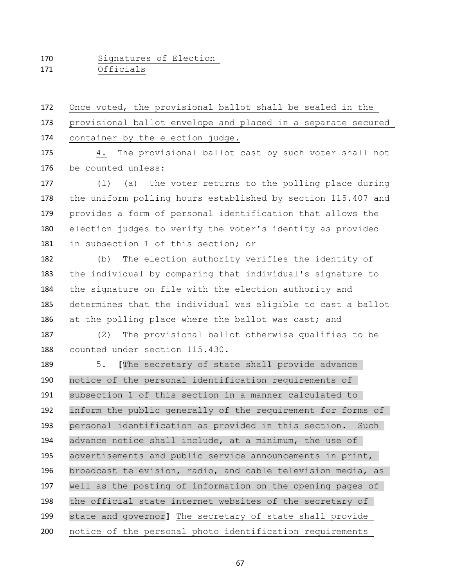Signatures of Election Officials

 Once voted, the provisional ballot shall be sealed in the provisional ballot envelope and placed in a separate secured container by the election judge.

 4. The provisional ballot cast by such voter shall not be counted unless:

 (1) (a) The voter returns to the polling place during the uniform polling hours established by section 115.407 and provides a form of personal identification that allows the election judges to verify the voter's identity as provided in subsection 1 of this section; or

 (b) The election authority verifies the identity of the individual by comparing that individual's signature to the signature on file with the election authority and determines that the individual was eligible to cast a ballot 186 at the polling place where the ballot was cast; and

 (2) The provisional ballot otherwise qualifies to be counted under section 115.430.

 5. **[**The secretary of state shall provide advance notice of the personal identification requirements of subsection 1 of this section in a manner calculated to inform the public generally of the requirement for forms of personal identification as provided in this section. Such advance notice shall include, at a minimum, the use of advertisements and public service announcements in print, broadcast television, radio, and cable television media, as well as the posting of information on the opening pages of 198 the official state internet websites of the secretary of state and governor**]** The secretary of state shall provide notice of the personal photo identification requirements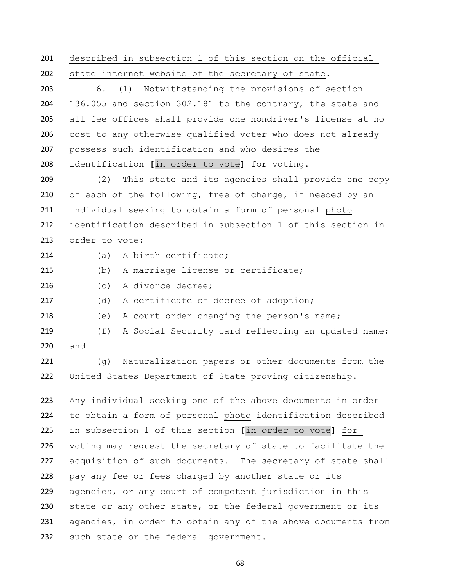described in subsection 1 of this section on the official state internet website of the secretary of state.

 6. (1) Notwithstanding the provisions of section 136.055 and section 302.181 to the contrary, the state and all fee offices shall provide one nondriver's license at no cost to any otherwise qualified voter who does not already possess such identification and who desires the identification **[**in order to vote**]** for voting.

 (2) This state and its agencies shall provide one copy of each of the following, free of charge, if needed by an individual seeking to obtain a form of personal photo identification described in subsection 1 of this section in order to vote:

(a) A birth certificate;

(b) A marriage license or certificate;

(c) A divorce decree;

(d) A certificate of decree of adoption;

(e) A court order changing the person's name;

219 (f) A Social Security card reflecting an updated name; and

 (g) Naturalization papers or other documents from the United States Department of State proving citizenship.

 Any individual seeking one of the above documents in order to obtain a form of personal photo identification described in subsection 1 of this section **[**in order to vote**]** for voting may request the secretary of state to facilitate the 227 acquisition of such documents. The secretary of state shall pay any fee or fees charged by another state or its agencies, or any court of competent jurisdiction in this 230 state or any other state, or the federal government or its agencies, in order to obtain any of the above documents from such state or the federal government.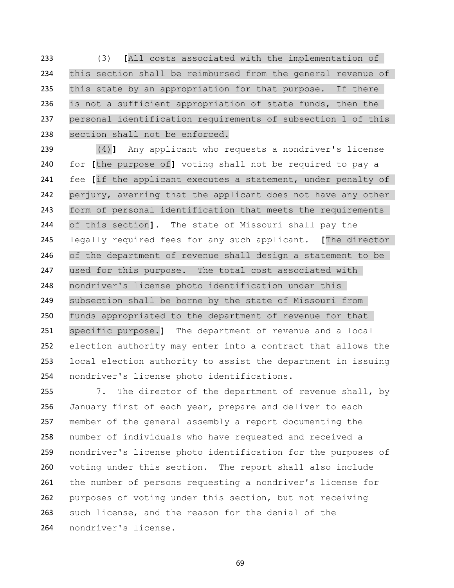(3) **[**All costs associated with the implementation of this section shall be reimbursed from the general revenue of this state by an appropriation for that purpose. If there is not a sufficient appropriation of state funds, then the personal identification requirements of subsection 1 of this section shall not be enforced.

 (4)**]** Any applicant who requests a nondriver's license for **[**the purpose of**]** voting shall not be required to pay a fee **[**if the applicant executes a statement, under penalty of perjury, averring that the applicant does not have any other form of personal identification that meets the requirements of this section**]**. The state of Missouri shall pay the legally required fees for any such applicant. **[**The director of the department of revenue shall design a statement to be used for this purpose. The total cost associated with nondriver's license photo identification under this subsection shall be borne by the state of Missouri from funds appropriated to the department of revenue for that specific purpose.**]** The department of revenue and a local election authority may enter into a contract that allows the local election authority to assist the department in issuing nondriver's license photo identifications.

255 7. The director of the department of revenue shall, by January first of each year, prepare and deliver to each member of the general assembly a report documenting the number of individuals who have requested and received a nondriver's license photo identification for the purposes of voting under this section. The report shall also include the number of persons requesting a nondriver's license for purposes of voting under this section, but not receiving such license, and the reason for the denial of the nondriver's license.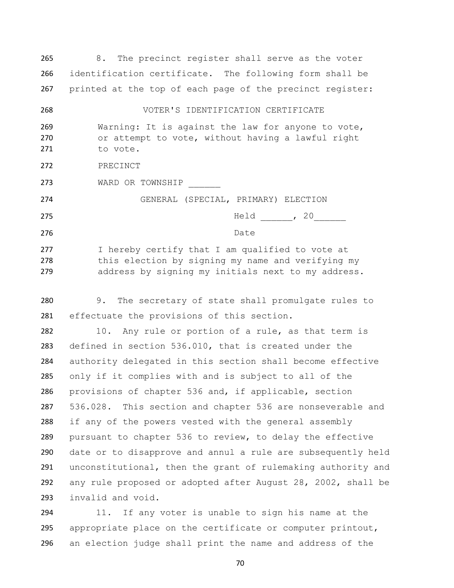8. The precinct register shall serve as the voter identification certificate. The following form shall be printed at the top of each page of the precinct register:

 VOTER'S IDENTIFICATION CERTIFICATE Warning: It is against the law for anyone to vote, or attempt to vote, without having a lawful right to vote. PRECINCT 273 WARD OR TOWNSHIP GENERAL (SPECIAL, PRIMARY) ELECTION 275 Held , 20 276 Date I hereby certify that I am qualified to vote at this election by signing my name and verifying my address by signing my initials next to my address.

 9. The secretary of state shall promulgate rules to effectuate the provisions of this section.

282 10. Any rule or portion of a rule, as that term is defined in section 536.010, that is created under the authority delegated in this section shall become effective only if it complies with and is subject to all of the provisions of chapter 536 and, if applicable, section 536.028. This section and chapter 536 are nonseverable and if any of the powers vested with the general assembly pursuant to chapter 536 to review, to delay the effective date or to disapprove and annul a rule are subsequently held unconstitutional, then the grant of rulemaking authority and any rule proposed or adopted after August 28, 2002, shall be invalid and void.

 11. If any voter is unable to sign his name at the appropriate place on the certificate or computer printout, an election judge shall print the name and address of the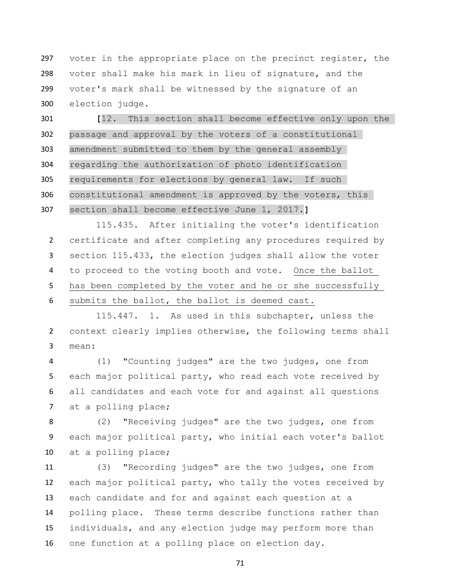voter in the appropriate place on the precinct register, the voter shall make his mark in lieu of signature, and the voter's mark shall be witnessed by the signature of an election judge.

 **[**12. This section shall become effective only upon the passage and approval by the voters of a constitutional amendment submitted to them by the general assembly regarding the authorization of photo identification requirements for elections by general law. If such constitutional amendment is approved by the voters, this section shall become effective June 1, 2017.**]**

 115.435. After initialing the voter's identification certificate and after completing any procedures required by section 115.433, the election judges shall allow the voter to proceed to the voting booth and vote. Once the ballot has been completed by the voter and he or she successfully submits the ballot, the ballot is deemed cast.

115.447. 1. As used in this subchapter, unless the context clearly implies otherwise, the following terms shall mean:

 (1) "Counting judges" are the two judges, one from each major political party, who read each vote received by all candidates and each vote for and against all questions 7 at a polling place;

 (2) "Receiving judges" are the two judges, one from each major political party, who initial each voter's ballot at a polling place;

 (3) "Recording judges" are the two judges, one from each major political party, who tally the votes received by each candidate and for and against each question at a polling place. These terms describe functions rather than individuals, and any election judge may perform more than one function at a polling place on election day.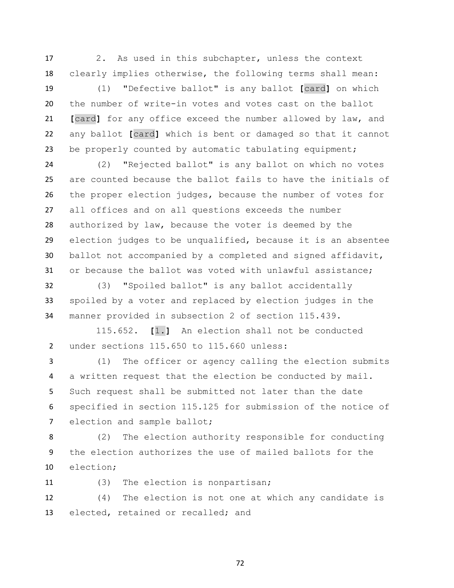2. As used in this subchapter, unless the context clearly implies otherwise, the following terms shall mean:

 (1) "Defective ballot" is any ballot **[**card**]** on which the number of write-in votes and votes cast on the ballot **[**card**]** for any office exceed the number allowed by law, and any ballot **[**card**]** which is bent or damaged so that it cannot 23 be properly counted by automatic tabulating equipment;

 (2) "Rejected ballot" is any ballot on which no votes are counted because the ballot fails to have the initials of the proper election judges, because the number of votes for all offices and on all questions exceeds the number authorized by law, because the voter is deemed by the election judges to be unqualified, because it is an absentee ballot not accompanied by a completed and signed affidavit, or because the ballot was voted with unlawful assistance;

 (3) "Spoiled ballot" is any ballot accidentally spoiled by a voter and replaced by election judges in the manner provided in subsection 2 of section 115.439.

 115.652. **[**1.**]** An election shall not be conducted under sections 115.650 to 115.660 unless:

 (1) The officer or agency calling the election submits a written request that the election be conducted by mail. Such request shall be submitted not later than the date specified in section 115.125 for submission of the notice of 7 election and sample ballot;

 (2) The election authority responsible for conducting the election authorizes the use of mailed ballots for the election;

- 
- (3) The election is nonpartisan;

 (4) The election is not one at which any candidate is elected, retained or recalled; and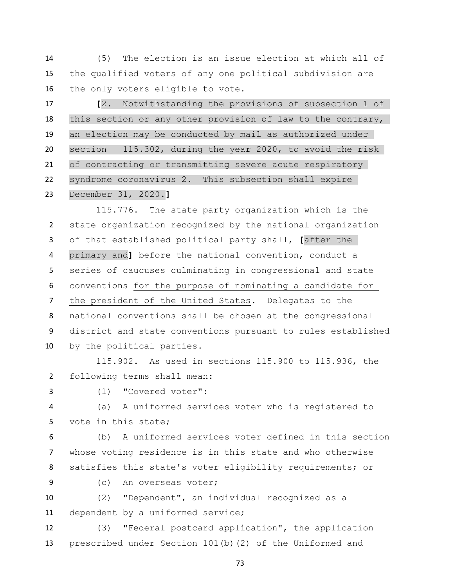(5) The election is an issue election at which all of the qualified voters of any one political subdivision are the only voters eligible to vote.

 **[**2. Notwithstanding the provisions of subsection 1 of this section or any other provision of law to the contrary, an election may be conducted by mail as authorized under section 115.302, during the year 2020, to avoid the risk of contracting or transmitting severe acute respiratory syndrome coronavirus 2. This subsection shall expire December 31, 2020.**]**

 115.776. The state party organization which is the state organization recognized by the national organization of that established political party shall, **[**after the primary and**]** before the national convention, conduct a series of caucuses culminating in congressional and state conventions for the purpose of nominating a candidate for the president of the United States. Delegates to the national conventions shall be chosen at the congressional district and state conventions pursuant to rules established by the political parties.

 115.902. As used in sections 115.900 to 115.936, the following terms shall mean:

(1) "Covered voter":

 (a) A uniformed services voter who is registered to vote in this state;

 (b) A uniformed services voter defined in this section whose voting residence is in this state and who otherwise satisfies this state's voter eligibility requirements; or

(c) An overseas voter;

 (2) "Dependent", an individual recognized as a dependent by a uniformed service;

 (3) "Federal postcard application", the application prescribed under Section 101(b)(2) of the Uniformed and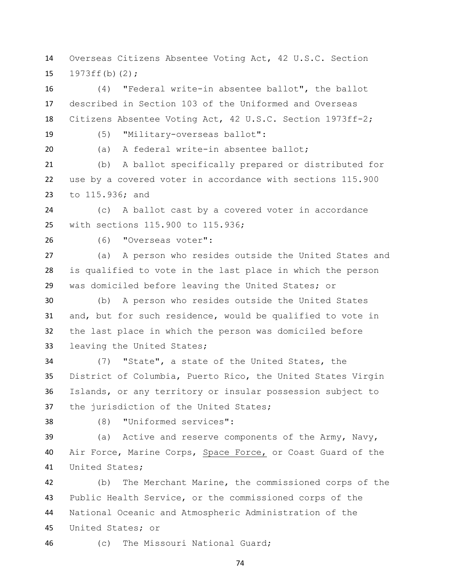Overseas Citizens Absentee Voting Act, 42 U.S.C. Section 1973ff(b)(2);

 (4) "Federal write-in absentee ballot", the ballot described in Section 103 of the Uniformed and Overseas Citizens Absentee Voting Act, 42 U.S.C. Section 1973ff-2;

(5) "Military-overseas ballot":

20 (a) A federal write-in absentee ballot;

 (b) A ballot specifically prepared or distributed for use by a covered voter in accordance with sections 115.900 to 115.936; and

 (c) A ballot cast by a covered voter in accordance with sections 115.900 to 115.936;

(6) "Overseas voter":

 (a) A person who resides outside the United States and is qualified to vote in the last place in which the person was domiciled before leaving the United States; or

 (b) A person who resides outside the United States and, but for such residence, would be qualified to vote in the last place in which the person was domiciled before leaving the United States;

 (7) "State", a state of the United States, the District of Columbia, Puerto Rico, the United States Virgin Islands, or any territory or insular possession subject to the jurisdiction of the United States;

(8) "Uniformed services":

 (a) Active and reserve components of the Army, Navy, Air Force, Marine Corps, Space Force, or Coast Guard of the United States;

 (b) The Merchant Marine, the commissioned corps of the Public Health Service, or the commissioned corps of the National Oceanic and Atmospheric Administration of the United States; or

(c) The Missouri National Guard;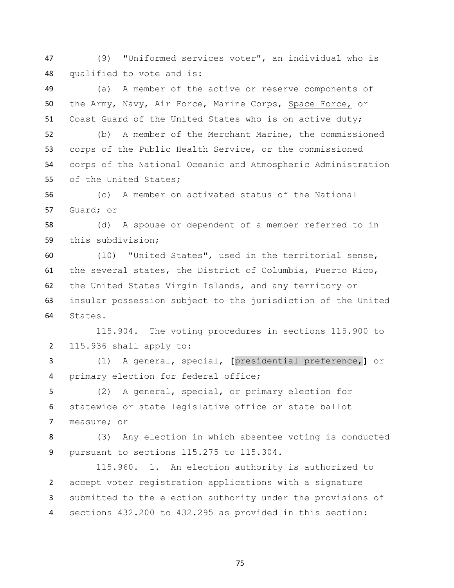(9) "Uniformed services voter", an individual who is qualified to vote and is:

 (a) A member of the active or reserve components of the Army, Navy, Air Force, Marine Corps, Space Force, or Coast Guard of the United States who is on active duty;

 (b) A member of the Merchant Marine, the commissioned corps of the Public Health Service, or the commissioned corps of the National Oceanic and Atmospheric Administration of the United States;

 (c) A member on activated status of the National Guard; or

 (d) A spouse or dependent of a member referred to in this subdivision;

 (10) "United States", used in the territorial sense, the several states, the District of Columbia, Puerto Rico, the United States Virgin Islands, and any territory or insular possession subject to the jurisdiction of the United States.

 115.904. The voting procedures in sections 115.900 to 115.936 shall apply to:

 (1) A general, special, **[**presidential preference,**]** or primary election for federal office;

 (2) A general, special, or primary election for statewide or state legislative office or state ballot measure; or

 (3) Any election in which absentee voting is conducted pursuant to sections 115.275 to 115.304.

115.960. 1. An election authority is authorized to accept voter registration applications with a signature submitted to the election authority under the provisions of sections 432.200 to 432.295 as provided in this section: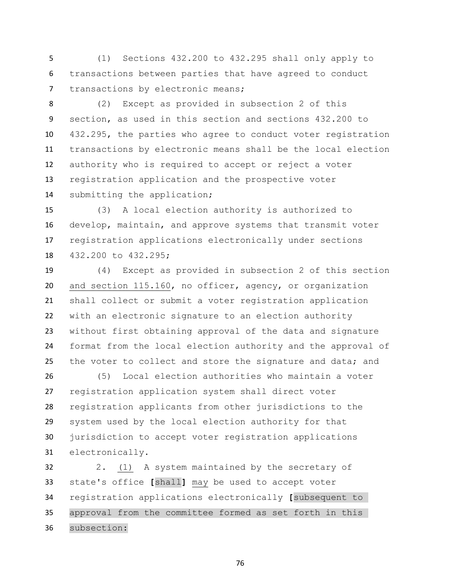(1) Sections 432.200 to 432.295 shall only apply to transactions between parties that have agreed to conduct 7 transactions by electronic means;

 (2) Except as provided in subsection 2 of this section, as used in this section and sections 432.200 to 432.295, the parties who agree to conduct voter registration transactions by electronic means shall be the local election authority who is required to accept or reject a voter registration application and the prospective voter submitting the application;

 (3) A local election authority is authorized to develop, maintain, and approve systems that transmit voter registration applications electronically under sections 432.200 to 432.295;

 (4) Except as provided in subsection 2 of this section and section 115.160, no officer, agency, or organization shall collect or submit a voter registration application with an electronic signature to an election authority without first obtaining approval of the data and signature format from the local election authority and the approval of 25 the voter to collect and store the signature and data; and

 (5) Local election authorities who maintain a voter registration application system shall direct voter registration applicants from other jurisdictions to the system used by the local election authority for that jurisdiction to accept voter registration applications electronically.

 2. (1) A system maintained by the secretary of state's office **[**shall**]** may be used to accept voter registration applications electronically **[**subsequent to approval from the committee formed as set forth in this subsection: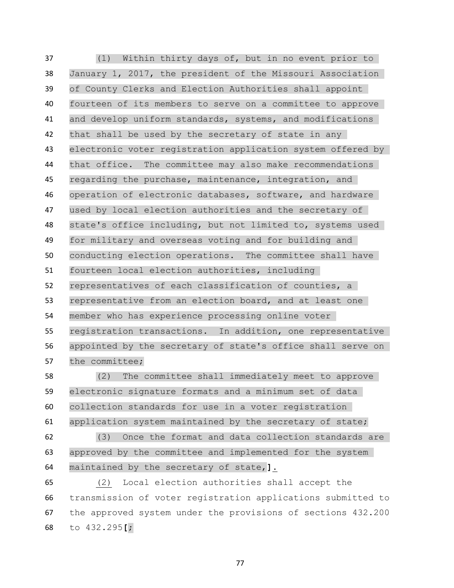(1) Within thirty days of, but in no event prior to January 1, 2017, the president of the Missouri Association of County Clerks and Election Authorities shall appoint fourteen of its members to serve on a committee to approve and develop uniform standards, systems, and modifications that shall be used by the secretary of state in any electronic voter registration application system offered by that office. The committee may also make recommendations 45 regarding the purchase, maintenance, integration, and operation of electronic databases, software, and hardware used by local election authorities and the secretary of state's office including, but not limited to, systems used for military and overseas voting and for building and conducting election operations. The committee shall have fourteen local election authorities, including representatives of each classification of counties, a representative from an election board, and at least one member who has experience processing online voter registration transactions. In addition, one representative appointed by the secretary of state's office shall serve on the committee;

 (2) The committee shall immediately meet to approve electronic signature formats and a minimum set of data collection standards for use in a voter registration application system maintained by the secretary of state;

 (3) Once the format and data collection standards are approved by the committee and implemented for the system maintained by the secretary of state,**]**.

 (2) Local election authorities shall accept the transmission of voter registration applications submitted to the approved system under the provisions of sections 432.200 to 432.295**[**;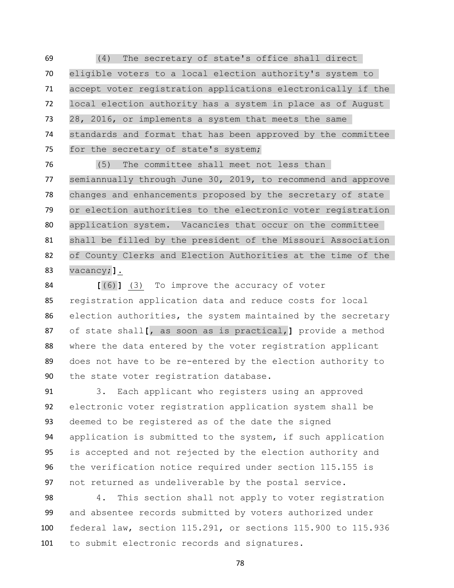(4) The secretary of state's office shall direct eligible voters to a local election authority's system to accept voter registration applications electronically if the local election authority has a system in place as of August 28, 2016, or implements a system that meets the same standards and format that has been approved by the committee for the secretary of state's system;

 (5) The committee shall meet not less than semiannually through June 30, 2019, to recommend and approve changes and enhancements proposed by the secretary of state or election authorities to the electronic voter registration application system. Vacancies that occur on the committee shall be filled by the president of the Missouri Association of County Clerks and Election Authorities at the time of the vacancy;**]**.

 **[**(6)**]** (3) To improve the accuracy of voter registration application data and reduce costs for local election authorities, the system maintained by the secretary of state shall**[**, as soon as is practical,**]** provide a method where the data entered by the voter registration applicant does not have to be re-entered by the election authority to the state voter registration database.

 3. Each applicant who registers using an approved electronic voter registration application system shall be deemed to be registered as of the date the signed application is submitted to the system, if such application is accepted and not rejected by the election authority and the verification notice required under section 115.155 is not returned as undeliverable by the postal service.

 4. This section shall not apply to voter registration and absentee records submitted by voters authorized under federal law, section 115.291, or sections 115.900 to 115.936 to submit electronic records and signatures.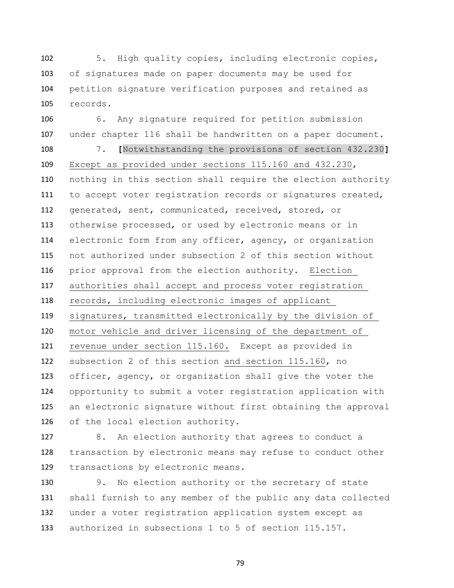5. High quality copies, including electronic copies, of signatures made on paper documents may be used for petition signature verification purposes and retained as records.

 6. Any signature required for petition submission under chapter 116 shall be handwritten on a paper document.

 7. **[**Notwithstanding the provisions of section 432.230**]** Except as provided under sections 115.160 and 432.230, nothing in this section shall require the election authority to accept voter registration records or signatures created, generated, sent, communicated, received, stored, or otherwise processed, or used by electronic means or in electronic form from any officer, agency, or organization not authorized under subsection 2 of this section without prior approval from the election authority. Election authorities shall accept and process voter registration records, including electronic images of applicant signatures, transmitted electronically by the division of motor vehicle and driver licensing of the department of revenue under section 115.160. Except as provided in subsection 2 of this section and section 115.160, no officer, agency, or organization shall give the voter the opportunity to submit a voter registration application with an electronic signature without first obtaining the approval of the local election authority.

 8. An election authority that agrees to conduct a transaction by electronic means may refuse to conduct other transactions by electronic means.

 9. No election authority or the secretary of state shall furnish to any member of the public any data collected under a voter registration application system except as authorized in subsections 1 to 5 of section 115.157.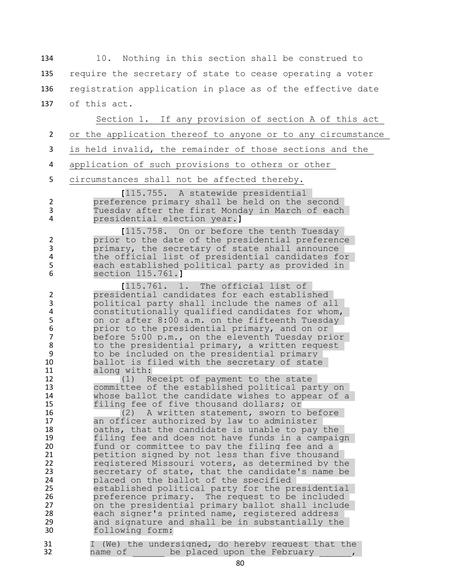10. Nothing in this section shall be construed to require the secretary of state to cease operating a voter registration application in place as of the effective date of this act.

Section 1. If any provision of section A of this act 2 or the application thereof to anyone or to any circumstance 3 is held invalid, the remainder of those sections and the 4 application of such provisions to others or other 5 circumstances shall not be affected thereby. 1 **[**115.755. A statewide presidential 2 preference primary shall be held on the second 3 Tuesday after the first Monday in March of each<br>4 Dresidential election vear.1 4 presidential election year.**]** 1 **[**115.758. On or before the tenth Tuesday 2 prior to the date of the presidential preference 3 primary, the secretary of state shall announce 4 the official list of presidential candidates for<br>5 each established political party as provided in each established political party as provided in 6 section 115.761.**]** 115.761. 1. The official list of<br>presidential candidates for each establis presidential candidates for each established 3 political party shall include the names of all 4 constitutionally qualified candidates for whom, 5 on or after 8:00 a.m. on the fifteenth Tuesday 6 prior to the presidential primary, and on or 7 before 5:00 p.m., on the eleventh Tuesday prior 8 to the presidential primary, a written request<br>9 to be included on the presidential primary to be included on the presidential primary 10 ballot is filed with the secretary of state 11 along with:<br>12 (1) Re 12 (1) Receipt of payment to the state<br>13 committee of the established political par

13 committee of the established political party on<br>14 whose ballot the candidate wishes to appear of a 14 whose ballot the candidate wishes to appear of a<br>15 filing fee of five thousand dollars; or filing fee of five thousand dollars; or

16 (2) A written statement, sworn to before 17 an officer authorized by law to administer 18 oaths, that the candidate is unable to pay the<br>19 filing fee and does not have funds in a campaig 19 filing fee and does not have funds in a campaign<br>20 fund or committee to pay the filing fee and a fund or committee to pay the filing fee and a 21 petition signed by not less than five thousand 22 registered Missouri voters, as determined by the<br>23 secretary of state, that the candidate's name be secretary of state, that the candidate's name be 24 placed on the ballot of the specified 25 established political party for the presidential 26 preference primary. The request to be included 27 on the presidential primary ballot shall include<br>28 each signer's printed name, registered address 28 each signer's printed name, registered address<br>29 and signature and shall be in substantially the 29 and signature and shall be in substantially the<br>30 following form: following form:

31 32 I (We) the undersigned, do hereby request that the name of \_\_\_\_\_\_\_ be placed upon the February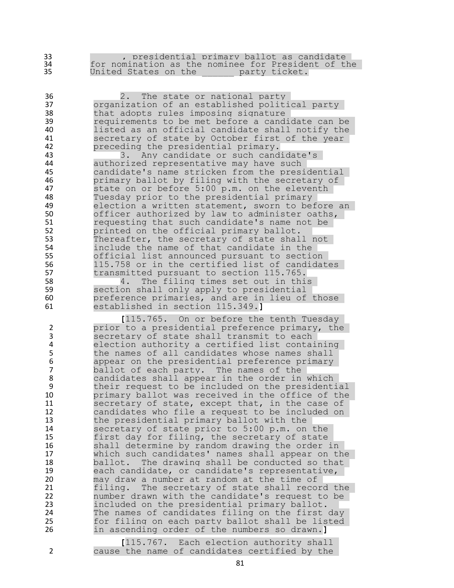| 33<br>34<br>35                                                                                                                                                       | , presidential primary ballot as candidate<br>for nomination as the nominee for President of the<br>United States on the<br>party ticket.                                                                                                                                                                                                                                                                                                                                                                                                                                                                                                                                                                                                                                                                                                                                                                                                                                                                                                                                                                                                                                                                                                                                                                                                                                |
|----------------------------------------------------------------------------------------------------------------------------------------------------------------------|--------------------------------------------------------------------------------------------------------------------------------------------------------------------------------------------------------------------------------------------------------------------------------------------------------------------------------------------------------------------------------------------------------------------------------------------------------------------------------------------------------------------------------------------------------------------------------------------------------------------------------------------------------------------------------------------------------------------------------------------------------------------------------------------------------------------------------------------------------------------------------------------------------------------------------------------------------------------------------------------------------------------------------------------------------------------------------------------------------------------------------------------------------------------------------------------------------------------------------------------------------------------------------------------------------------------------------------------------------------------------|
| 36<br>37<br>38<br>39<br>40<br>41<br>42<br>43<br>44<br>45<br>46<br>47<br>48<br>49<br>50<br>51<br>52<br>53<br>54<br>55<br>56<br>57<br>58<br>59<br>60<br>61             | The state or national party<br>2.<br>organization of an established political party<br>that adopts rules imposing signature<br>requirements to be met before a candidate can be<br>listed as an official candidate shall notify the<br>secretary of state by October first of the year<br>preceding the presidential primary.<br>3. Any candidate or such candidate's<br>authorized representative may have such<br>candidate's name stricken from the presidential<br>primary ballot by filing with the secretary of<br>state on or before 5:00 p.m. on the eleventh<br>Tuesday prior to the presidential primary<br>election a written statement, sworn to before an<br>officer authorized by law to administer oaths,<br>requesting that such candidate's name not be<br>printed on the official primary ballot.<br>Thereafter, the secretary of state shall not<br>include the name of that candidate in the<br>official list announced pursuant to section<br>115.758 or in the certified list of candidates<br>transmitted pursuant to section 115.765.<br>The filing times set out in this<br>4.<br>section shall only apply to presidential<br>preference primaries, and are in lieu of those<br>established in section 115.349.]                                                                                                                                |
| $\overline{2}$<br>3<br>4<br>5<br>6<br>$\overline{7}$<br>8<br>9<br>10<br>11<br>12<br>13<br>14<br>15<br>16<br>17<br>18<br>19<br>20<br>21<br>22<br>23<br>24<br>25<br>26 | [115.765. On or before the tenth Tuesday<br>prior to a presidential preference primary, the<br>secretary of state shall transmit to each<br>election authority a certified list containing<br>the names of all candidates whose names shall<br>appear on the presidential preference primary<br>ballot of each party. The names of the<br>candidates shall appear in the order in which<br>their request to be included on the presidential<br>primary ballot was received in the office of the<br>secretary of state, except that, in the case of<br>candidates who file a request to be included on<br>the presidential primary ballot with the<br>secretary of state prior to 5:00 p.m. on the<br>first day for filing, the secretary of state<br>shall determine by random drawing the order in<br>which such candidates' names shall appear on the<br>The drawing shall be conducted so that<br>ballot. I<br>each candidate, or candidate's representative,<br>may draw a number at random at the time of<br>The secretary of state shall record the<br>filing.<br>number drawn with the candidate's request to be<br>included on the presidential primary ballot.<br>The names of candidates filing on the first day<br>for filing on each party ballot shall be listed<br>in ascending order of the numbers so drawn.]<br>[115.767. Each election authority shall |

cause the name of candidates certified by the